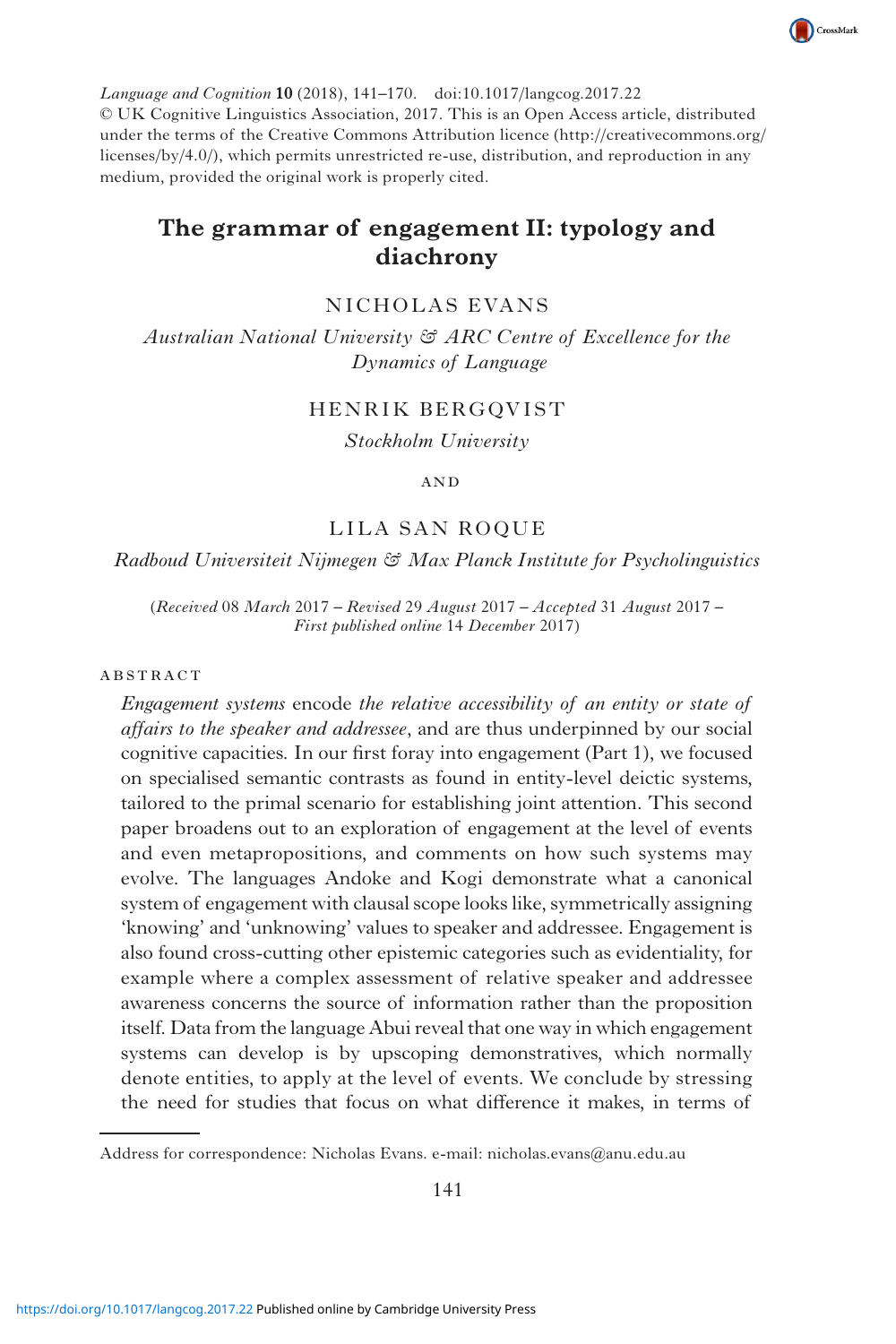

*Language and Cognition* **10** (2018), 141–170. doi:10.1017/langcog.2017.22 © UK Cognitive Linguistics Association, 2017. This is an Open Access article, distributed under the terms of the Creative Commons Attribution licence ([http://creativecommons.org/](http://creativecommons.org/licenses/by/4.0/) [licenses/by/4.0/](http://creativecommons.org/licenses/by/4.0/)), which permits unrestricted re-use, distribution, and reproduction in any medium, provided the original work is properly cited.

# **The grammar of engagement II: typology and diachrony**

# NICHOLAS EVANS

*Australian National University & ARC Centre of Excellence for the Dynamics of Language*

# HENRIK BERGQVIST

*Stockholm University*

**AND** 

LILA SAN ROQUE

*Radboud Universiteit Nijmegen & Max Planck Institute for Psycholinguistics*

(*Received* 08 *March* 2017 *– Revised* 29 *August* 2017 *– Accepted* 31 *August* 2017 – *First published online* 14 *December* 2017)

#### **ABSTRACT**

*Engagement systems* encode *the relative accessibility of an entity or state of affairs to the speaker and addressee*, and are thus underpinned by our social cognitive capacities. In our first foray into engagement (Part 1), we focused on specialised semantic contrasts as found in entity-level deictic systems, tailored to the primal scenario for establishing joint attention. This second paper broadens out to an exploration of engagement at the level of events and even metapropositions, and comments on how such systems may evolve. The languages Andoke and Kogi demonstrate what a canonical system of engagement with clausal scope looks like, symmetrically assigning 'knowing' and 'unknowing' values to speaker and addressee. Engagement is also found cross-cutting other epistemic categories such as evidentiality, for example where a complex assessment of relative speaker and addressee awareness concerns the source of information rather than the proposition itself. Data from the language Abui reveal that one way in which engagement systems can develop is by upscoping demonstratives, which normally denote entities, to apply at the level of events. We conclude by stressing the need for studies that focus on what difference it makes, in terms of

Address for correspondence: Nicholas Evans. e-mail: [nicholas.evans@anu.edu.au](mailto:nicholas.evans@anu.edu.au)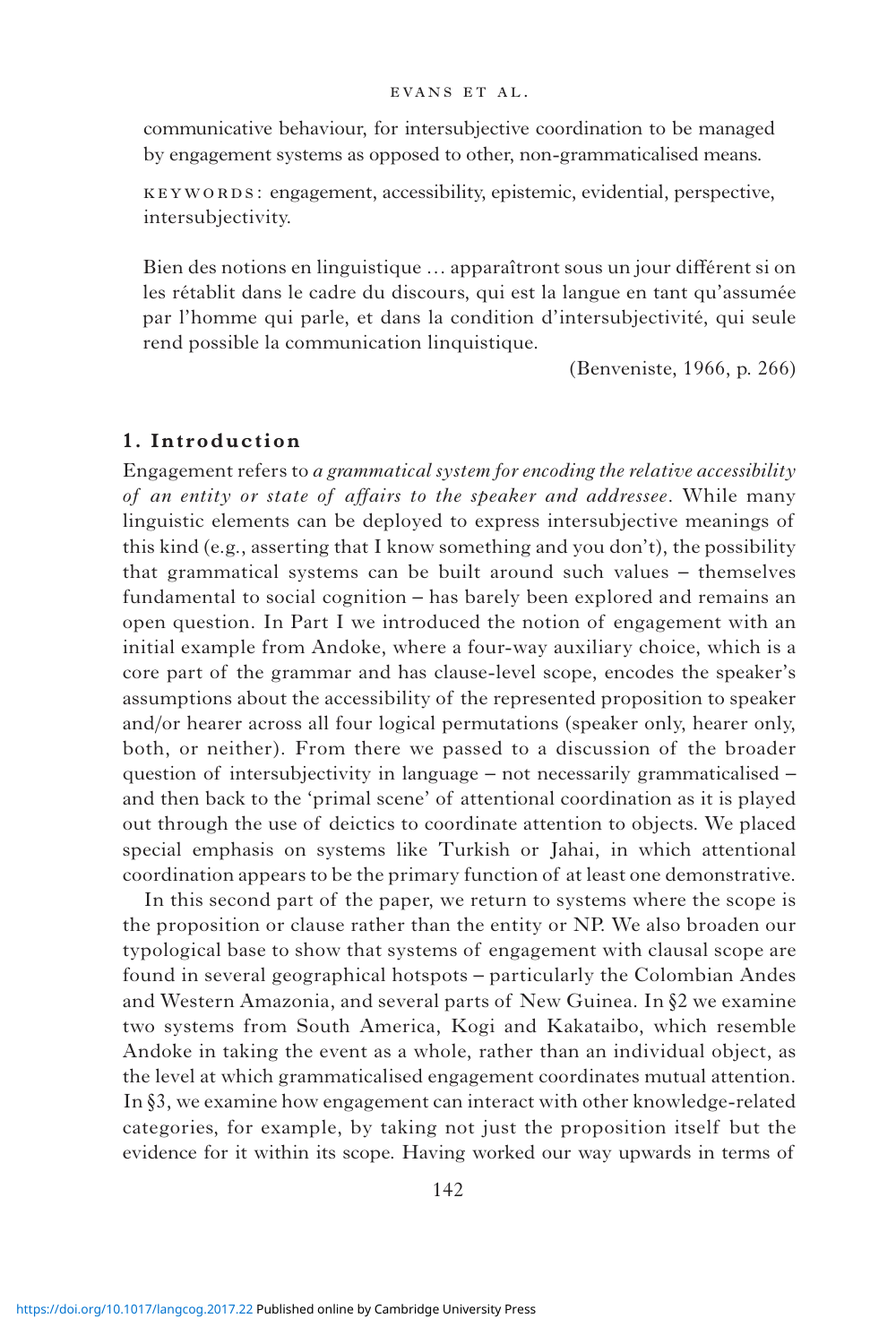communicative behaviour, for intersubjective coordination to be managed by engagement systems as opposed to other, non-grammaticalised means.

keywords: engagement, accessibility, epistemic, evidential, perspective, intersubjectivity.

Bien des notions en linguistique … apparaîtront sous un jour différent si on les rétablit dans le cadre du discours, qui est la langue en tant qu'assumée par l'homme qui parle, et dans la condition d'intersubjectivité, qui seule rend possible la communication linquistique.

(Benveniste, 1966, p. 266)

# **1. Introduction**

Engagement refers to *a grammatical system for encoding the relative accessibility of an entity or state of affairs to the speaker and addressee*. While many linguistic elements can be deployed to express intersubjective meanings of this kind (e.g., asserting that I know something and you don't), the possibility that grammatical systems can be built around such values – themselves fundamental to social cognition – has barely been explored and remains an open question. In Part I we introduced the notion of engagement with an initial example from Andoke, where a four-way auxiliary choice, which is a core part of the grammar and has clause-level scope, encodes the speaker's assumptions about the accessibility of the represented proposition to speaker and/or hearer across all four logical permutations (speaker only, hearer only, both, or neither). From there we passed to a discussion of the broader question of intersubjectivity in language – not necessarily grammaticalised – and then back to the 'primal scene' of attentional coordination as it is played out through the use of deictics to coordinate attention to objects. We placed special emphasis on systems like Turkish or Jahai, in which attentional coordination appears to be the primary function of at least one demonstrative.

In this second part of the paper, we return to systems where the scope is the proposition or clause rather than the entity or NP. We also broaden our typological base to show that systems of engagement with clausal scope are found in several geographical hotspots – particularly the Colombian Andes and Western Amazonia, and several parts of New Guinea. In §2 we examine two systems from South America, Kogi and Kakataibo, which resemble Andoke in taking the event as a whole, rather than an individual object, as the level at which grammaticalised engagement coordinates mutual attention. In §3, we examine how engagement can interact with other knowledge-related categories, for example, by taking not just the proposition itself but the evidence for it within its scope. Having worked our way upwards in terms of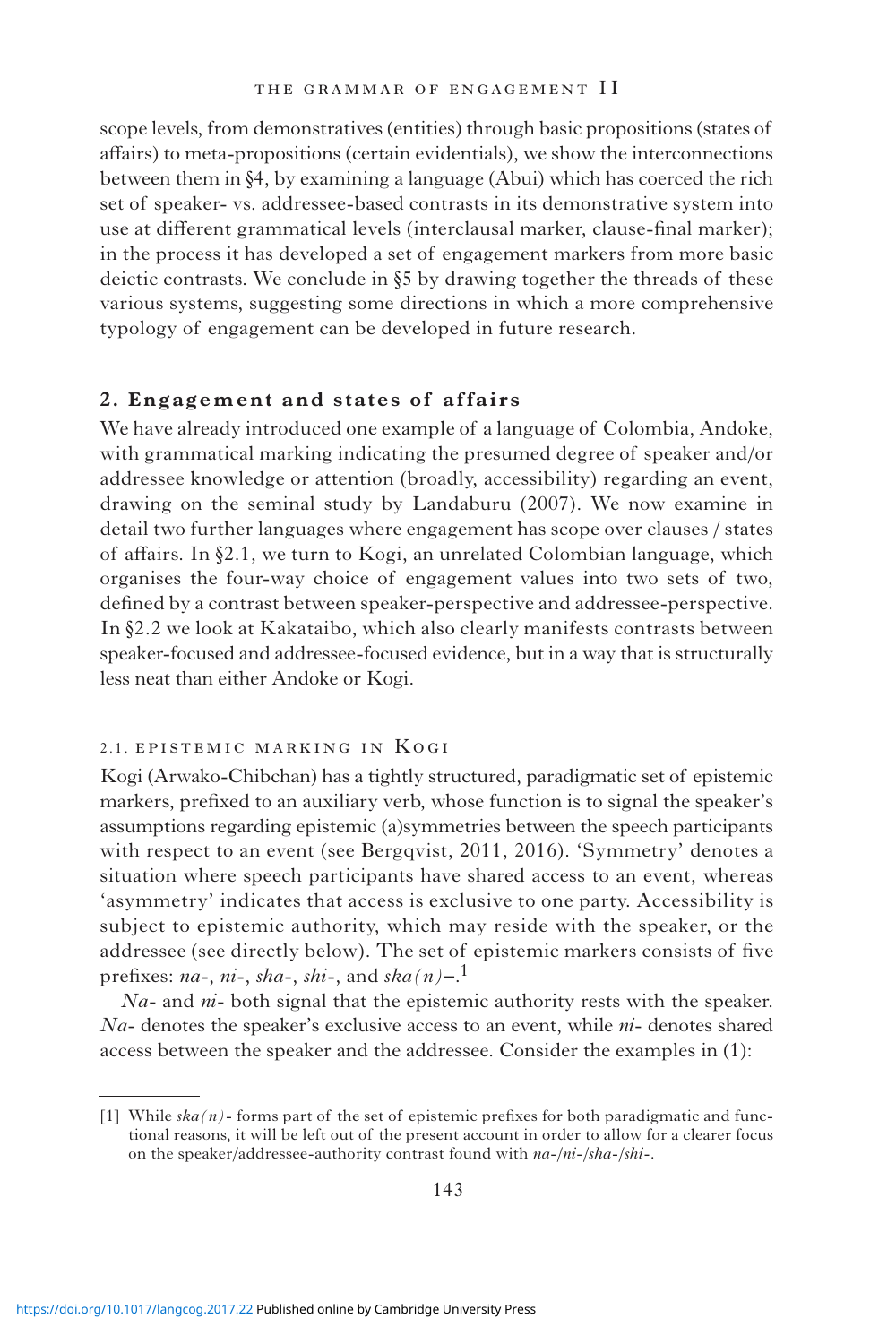scope levels, from demonstratives (entities) through basic propositions (states of affairs) to meta-propositions (certain evidentials), we show the interconnections between them in §4, by examining a language (Abui) which has coerced the rich set of speaker- vs. addressee-based contrasts in its demonstrative system into use at different grammatical levels (interclausal marker, clause-final marker); in the process it has developed a set of engagement markers from more basic deictic contrasts. We conclude in §5 by drawing together the threads of these various systems, suggesting some directions in which a more comprehensive typology of engagement can be developed in future research.

# **2. Engagement and states of affairs**

We have already introduced one example of a language of Colombia, Andoke, with grammatical marking indicating the presumed degree of speaker and/or addressee knowledge or attention (broadly, accessibility) regarding an event, drawing on the seminal study by Landaburu (2007). We now examine in detail two further languages where engagement has scope over clauses / states of affairs. In §2.1, we turn to Kogi, an unrelated Colombian language, which organises the four-way choice of engagement values into two sets of two, defined by a contrast between speaker-perspective and addressee-perspective. In §2.2 we look at Kakataibo, which also clearly manifests contrasts between speaker-focused and addressee-focused evidence, but in a way that is structurally less neat than either Andoke or Kogi.

### 2.1. epistemic marking in Kogi

Kogi (Arwako-Chibchan) has a tightly structured, paradigmatic set of epistemic markers, prefixed to an auxiliary verb, whose function is to signal the speaker's assumptions regarding epistemic (a)symmetries between the speech participants with respect to an event (see Bergqvist, 2011, 2016). 'Symmetry' denotes a situation where speech participants have shared access to an event, whereas 'asymmetry' indicates that access is exclusive to one party. Accessibility is subject to epistemic authority, which may reside with the speaker, or the addressee (see directly below). The set of epistemic markers consists of five prefixes:  $na-$ ,  $ni-$ ,  $sha-$ ,  $shi-$ , and  $ska(n)-$ <sup>1</sup>

*Na-* and *ni-* both signal that the epistemic authority rests with the speaker. *Na-* denotes the speaker's exclusive access to an event, while *ni-* denotes shared access between the speaker and the addressee. Consider the examples in (1):

<sup>[1]</sup> While  $ska(n)$ - forms part of the set of epistemic prefixes for both paradigmatic and functional reasons, it will be left out of the present account in order to allow for a clearer focus on the speaker/addressee-authority contrast found with *na-/ni-/sha-/shi-*.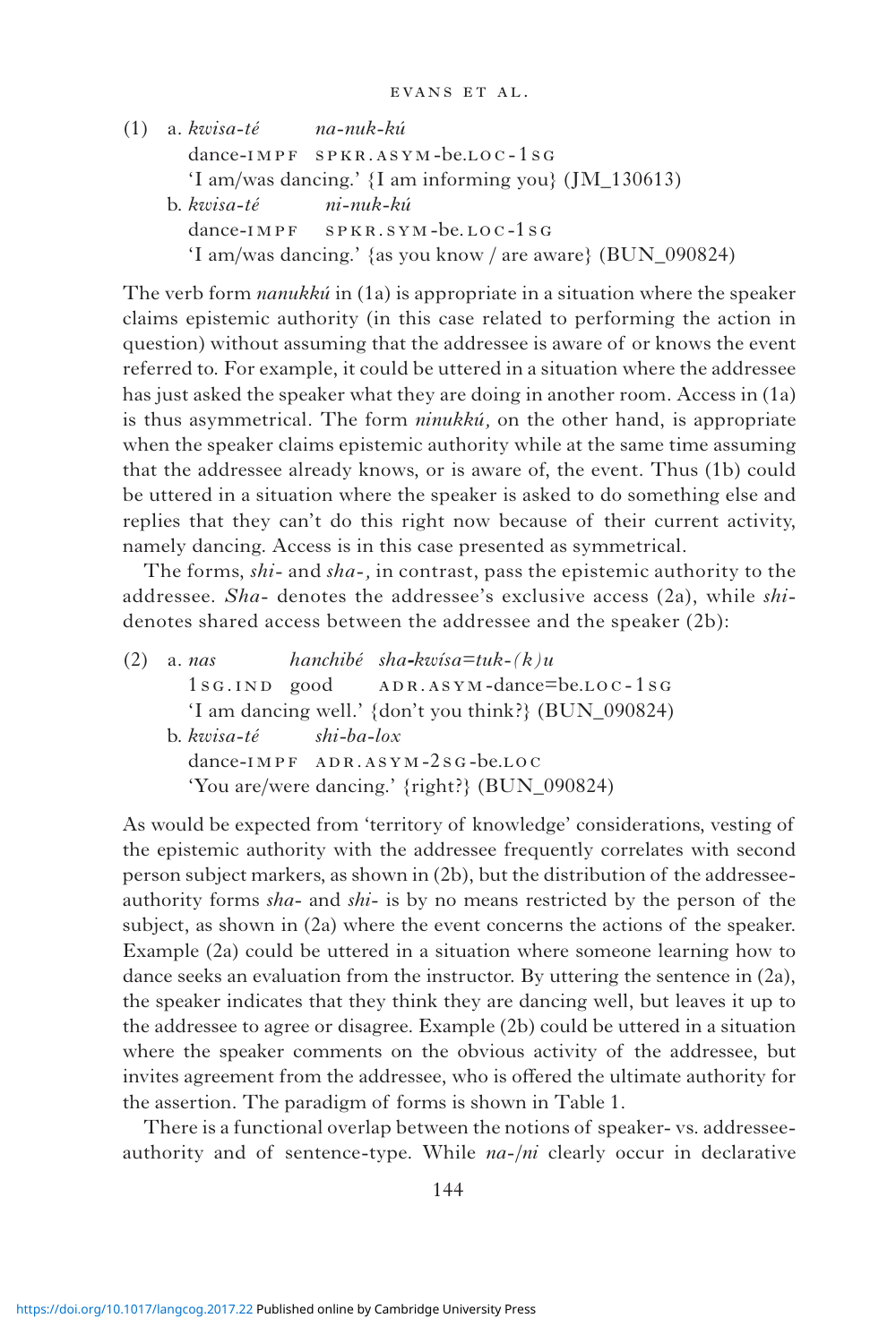(1) a. *kwisa-té na-nuk-kú* dance-IMPF SPKR.ASYM-be.LOC-1sG 'I am/was dancing.' {I am informing you} (JM\_130613) b. *kwisa-té ni-nuk-kú* dance-IMPF SPKR.SYM-be.LOC-1SG 'I am/was dancing.' {as you know / are aware} (BUN\_090824)

The verb form *nanukkú* in (1a) is appropriate in a situation where the speaker claims epistemic authority (in this case related to performing the action in question) without assuming that the addressee is aware of or knows the event referred to. For example, it could be uttered in a situation where the addressee has just asked the speaker what they are doing in another room. Access in (1a) is thus asymmetrical. The form *ninukkú,* on the other hand, is appropriate when the speaker claims epistemic authority while at the same time assuming that the addressee already knows, or is aware of, the event. Thus (1b) could be uttered in a situation where the speaker is asked to do something else and replies that they can't do this right now because of their current activity, namely dancing. Access is in this case presented as symmetrical.

The forms, *shi-* and *sha-,* in contrast, pass the epistemic authority to the addressee. *Sha-* denotes the addressee's exclusive access (2a), while *shi*denotes shared access between the addressee and the speaker (2b):

|                             | (2) a. nas hanchibé sha-kwisa=tuk- $(k)$ u           |
|-----------------------------|------------------------------------------------------|
|                             | 1sG.IND good ADR.ASYM-dance=be.LOC-1sG               |
|                             | 'I am dancing well.' {don't you think?} (BUN_090824) |
| b. $k\nu$ isa-té shi-ba-lox |                                                      |
|                             | dance-IMPF $ADR.ASYM-2SG-be.LOC$                     |
|                             | 'You are/were dancing.' {right?} (BUN_090824)        |
|                             |                                                      |

As would be expected from 'territory of knowledge' considerations, vesting of the epistemic authority with the addressee frequently correlates with second person subject markers, as shown in (2b), but the distribution of the addresseeauthority forms *sha-* and *shi-* is by no means restricted by the person of the subject, as shown in (2a) where the event concerns the actions of the speaker. Example (2a) could be uttered in a situation where someone learning how to dance seeks an evaluation from the instructor. By uttering the sentence in (2a), the speaker indicates that they think they are dancing well, but leaves it up to the addressee to agree or disagree. Example (2b) could be uttered in a situation where the speaker comments on the obvious activity of the addressee, but invites agreement from the addressee, who is offered the ultimate authority for the assertion. The paradigm of forms is shown in Table 1.

There is a functional overlap between the notions of speaker- vs. addresseeauthority and of sentence-type. While *na-/ni* clearly occur in declarative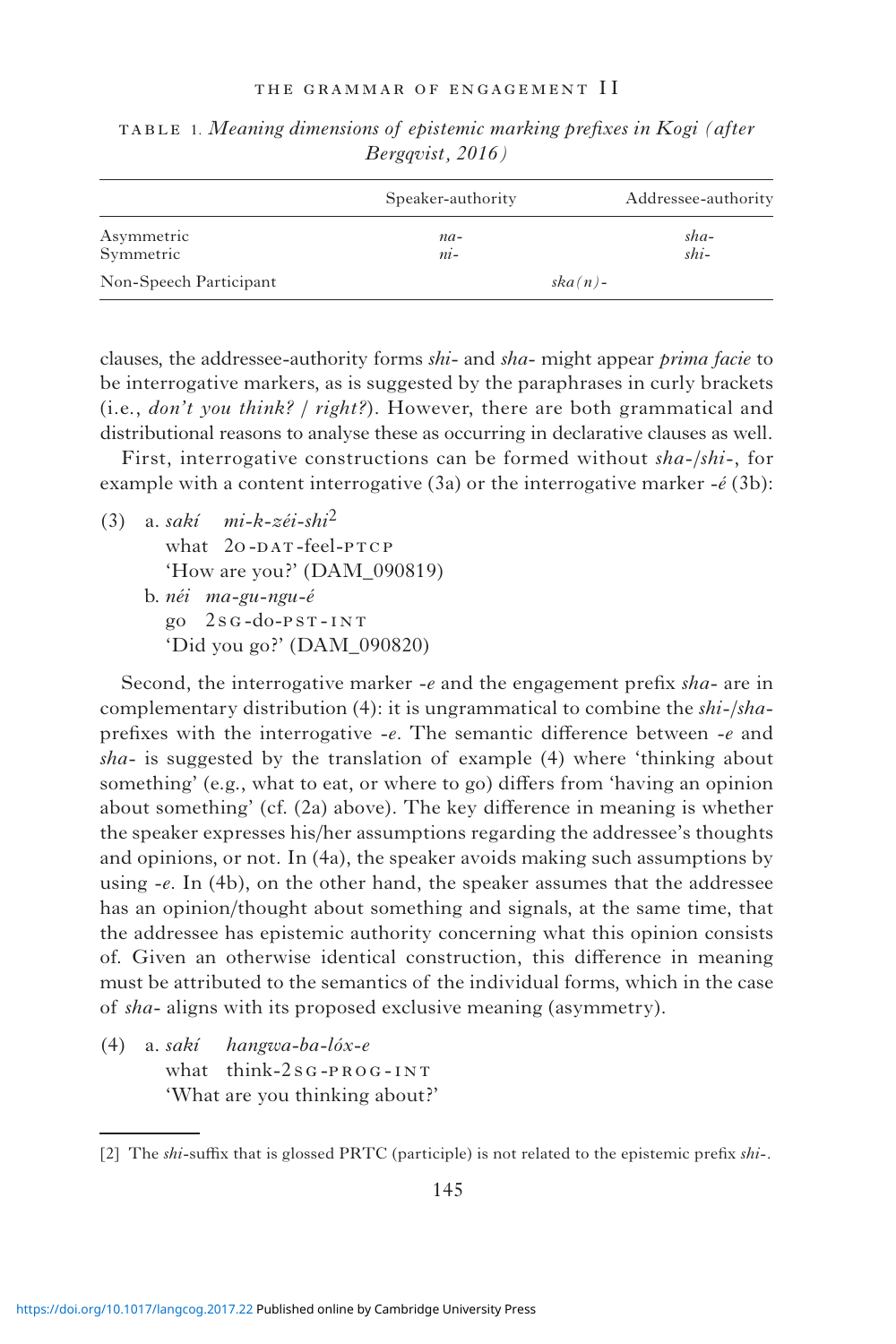|                         | Speaker-authority | Addressee-authority        |
|-------------------------|-------------------|----------------------------|
| Asymmetric<br>Symmetric | $na-$<br>$n-1$    | $sha-$<br>$\overline{shi}$ |
| Non-Speech Participant  |                   | $ska(n)$ -                 |

table 1. *Meaning dimensions of epistemic marking prefixes in Kogi (after Bergqvist, 2016)*

clauses, the addressee-authority forms *shi-* and *sha-* might appear *prima facie* to be interrogative markers, as is suggested by the paraphrases in curly brackets (i.e., *don't you think? / right?*). However, there are both grammatical and distributional reasons to analyse these as occurring in declarative clauses as well.

First, interrogative constructions can be formed without *sha-/shi-*, for example with a content interrogative (3a) or the interrogative marker *-é* (3b):

(3) a. *sakí mi-k-zéi-shi*2 what  $20$ -DAT-feel-PTCP 'How are you?' (DAM\_090819) b. *néi ma-gu-ngu-é* go 2sg-do-pst-int 'Did you go?' (DAM\_090820)

Second, the interrogative marker *-e* and the engagement prefix *sha-* are in complementary distribution (4): it is ungrammatical to combine the *shi-/sha*prefixes with the interrogative *-e.* The semantic difference between -*e* and *sha-* is suggested by the translation of example (4) where 'thinking about something' (e.g., what to eat, or where to go) differs from 'having an opinion about something' (cf. (2a) above). The key difference in meaning is whether the speaker expresses his/her assumptions regarding the addressee's thoughts and opinions, or not. In (4a), the speaker avoids making such assumptions by using *-e.* In (4b), on the other hand, the speaker assumes that the addressee has an opinion/thought about something and signals, at the same time, that the addressee has epistemic authority concerning what this opinion consists of. Given an otherwise identical construction, this difference in meaning must be attributed to the semantics of the individual forms, which in the case of *sha-* aligns with its proposed exclusive meaning (asymmetry).

(4) a. *sakí hangwa-ba-lóx-e* what  $\text{think-}2\text{ sG-PROG-INT}$ 'What are you thinking about?'

<sup>[2]</sup> The *shi-*suffix that is glossed PRTC (participle) is not related to the epistemic prefix *shi-*.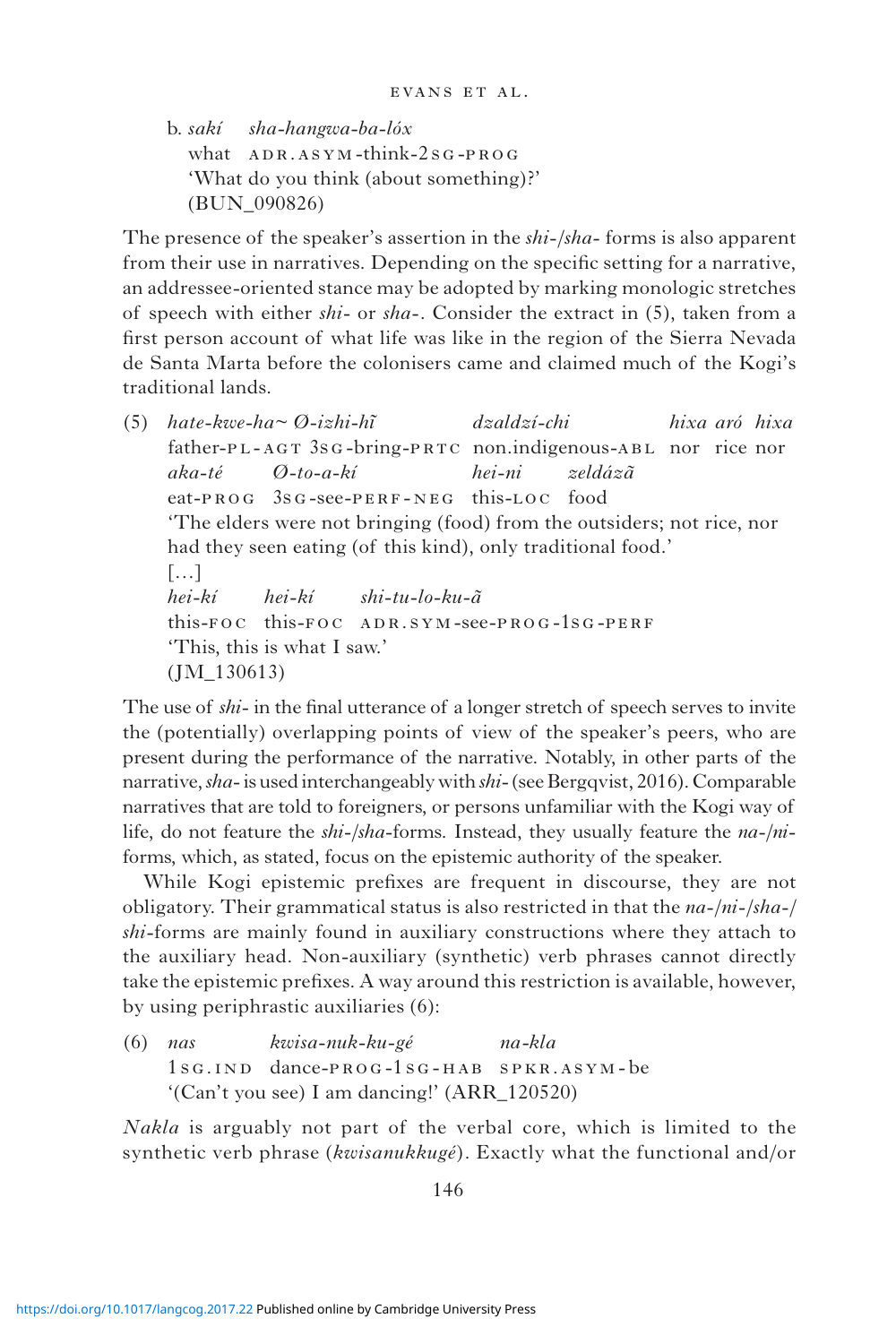b. *sakí sha-hangwa-ba-lóx* what  $ADR.ASYM-think-2SG-PROG$  'What do you think (about something)?' (BUN\_090826)

The presence of the speaker's assertion in the *shi-/sha-* forms is also apparent from their use in narratives. Depending on the specific setting for a narrative, an addressee-oriented stance may be adopted by marking monologic stretches of speech with either *shi-* or *sha-.* Consider the extract in (5), taken from a first person account of what life was like in the region of the Sierra Nevada de Santa Marta before the colonisers came and claimed much of the Kogi's traditional lands.

(5) *hate-kwe-ha~ Ø-izhi-hĩ dzaldzí-chi hixa aró hixa* father-pl-agt 3sg-bring-prtc non.indigenous-abl nor rice nor *aka-té Ø-to-a-kí hei-ni zeldázã* eat-prog 3sg-see-perf-neg this-loc food 'The elders were not bringing (food) from the outsiders; not rice, nor had they seen eating (of this kind), only traditional food.'  $[\ldots]$  *hei-kí hei-kí shi-tu-lo-ku-ã* this-FOC this-FOC ADR.SYM-see-PROG-1SG-PERF 'This, this is what I saw.' (JM\_130613)

The use of *shi-* in the final utterance of a longer stretch of speech serves to invite the (potentially) overlapping points of view of the speaker's peers, who are present during the performance of the narrative. Notably, in other parts of the narrative, *sha-* is used interchangeably with *shi-* (see Bergqvist, 2016). Comparable narratives that are told to foreigners, or persons unfamiliar with the Kogi way of life, do not feature the *shi-/sha-*forms. Instead, they usually feature the *na-/ni*forms, which, as stated, focus on the epistemic authority of the speaker.

While Kogi epistemic prefixes are frequent in discourse, they are not obligatory. Their grammatical status is also restricted in that the *na-/ni-/sha-/ shi-*forms are mainly found in auxiliary constructions where they attach to the auxiliary head. Non-auxiliary (synthetic) verb phrases cannot directly take the epistemic prefixes. A way around this restriction is available, however, by using periphrastic auxiliaries (6):

(6) *nas kwisa-nuk-ku-gé na-kla* 1sg.ind dance-prog-1sg-hab spkr.asym-be '(Can't you see) I am dancing!' (ARR\_120520)

*Nakla* is arguably not part of the verbal core, which is limited to the synthetic verb phrase (*kwisanukkugé*)*.* Exactly what the functional and/or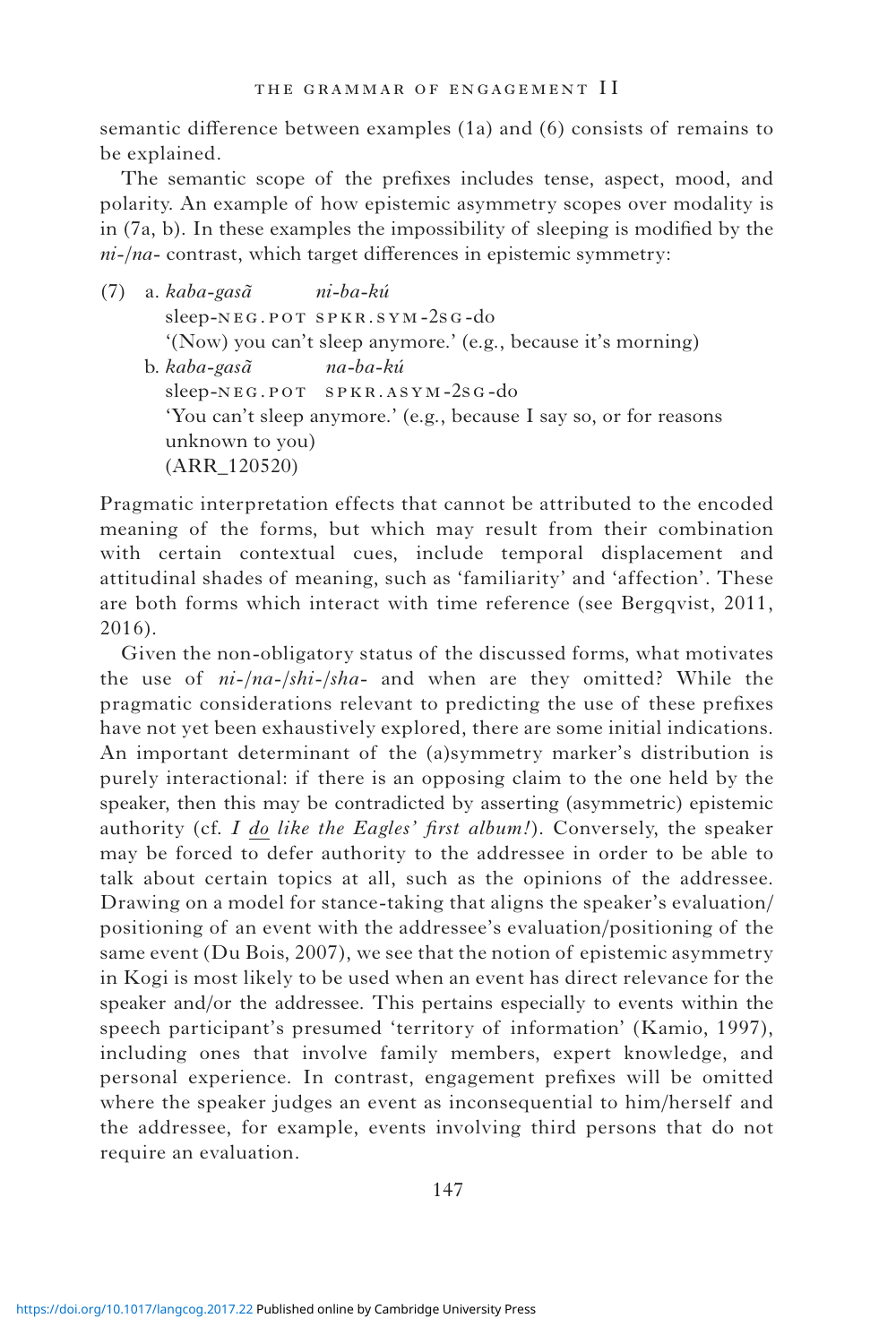semantic difference between examples (1a) and (6) consists of remains to be explained.

The semantic scope of the prefixes includes tense, aspect, mood, and polarity. An example of how epistemic asymmetry scopes over modality is in (7a, b). In these examples the impossibility of sleeping is modified by the *ni-/na-* contrast, which target differences in epistemic symmetry:

(7) a. *kaba-gasã ni-ba-kú* sleep-neg.pot spkr.sym-2sg-do '(Now) you can't sleep anymore.' (e.g., because it's morning) b. *kaba-gasã na-ba-kú* sleep-neg.pot spkr.asym-2sg-do 'You can't sleep anymore.' (e.g., because I say so, or for reasons unknown to you) (ARR\_120520)

Pragmatic interpretation effects that cannot be attributed to the encoded meaning of the forms, but which may result from their combination with certain contextual cues, include temporal displacement and attitudinal shades of meaning, such as 'familiarity' and 'affection'. These are both forms which interact with time reference (see Bergqvist, 2011, 2016).

Given the non-obligatory status of the discussed forms, what motivates the use of *ni-/na-/shi-/sha-* and when are they omitted? While the pragmatic considerations relevant to predicting the use of these prefixes have not yet been exhaustively explored, there are some initial indications. An important determinant of the (a)symmetry marker's distribution is purely interactional: if there is an opposing claim to the one held by the speaker, then this may be contradicted by asserting (asymmetric) epistemic authority (cf. *I do like the Eagles' first album!*). Conversely, the speaker may be forced to defer authority to the addressee in order to be able to talk about certain topics at all, such as the opinions of the addressee. Drawing on a model for stance-taking that aligns the speaker's evaluation/ positioning of an event with the addressee's evaluation/positioning of the same event (Du Bois, 2007), we see that the notion of epistemic asymmetry in Kogi is most likely to be used when an event has direct relevance for the speaker and/or the addressee. This pertains especially to events within the speech participant's presumed 'territory of information' (Kamio, 1997), including ones that involve family members, expert knowledge, and personal experience. In contrast, engagement prefixes will be omitted where the speaker judges an event as inconsequential to him/herself and the addressee, for example, events involving third persons that do not require an evaluation.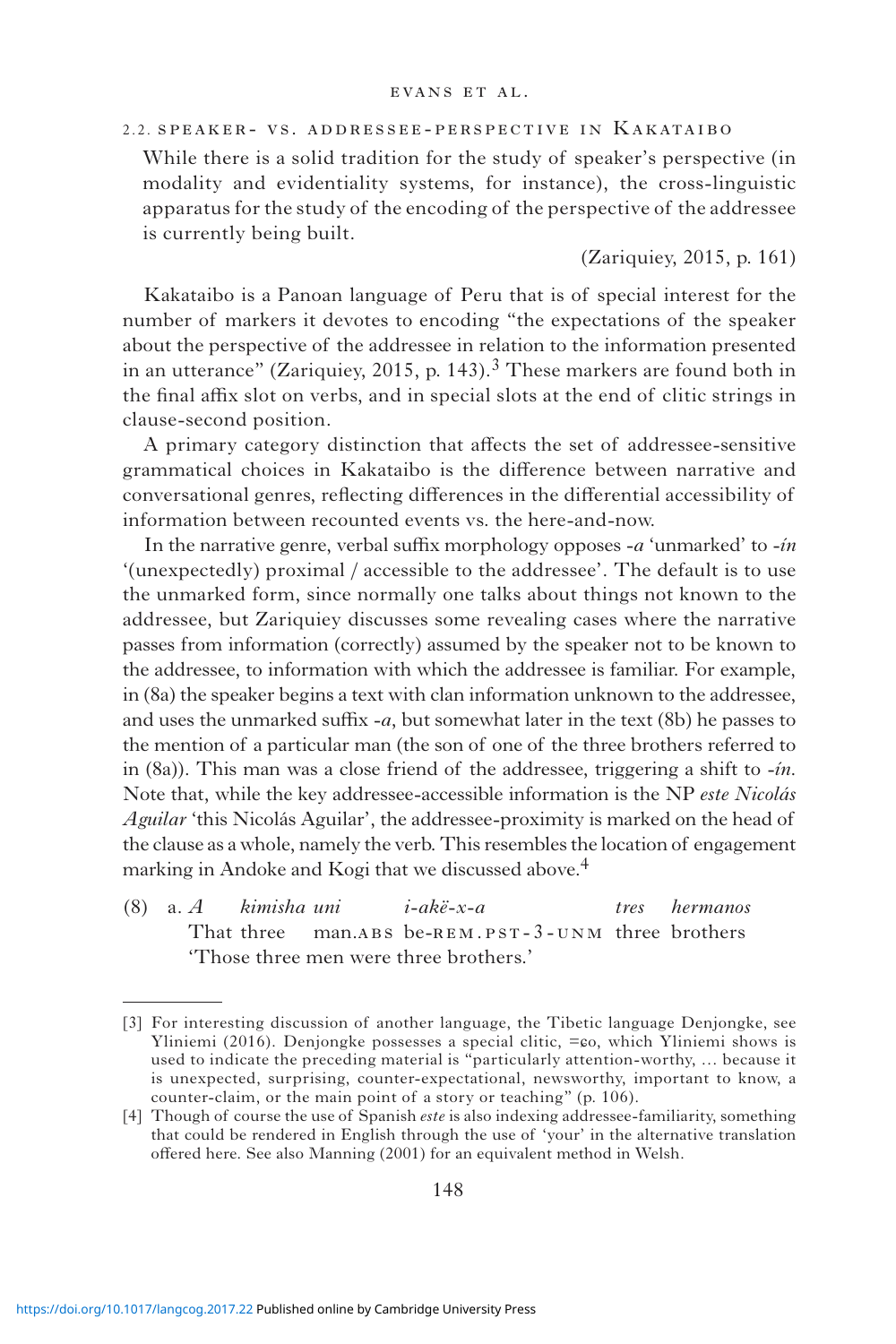### 2.2. speaker- vs. addressee-perspective in Kakataibo

While there is a solid tradition for the study of speaker's perspective (in modality and evidentiality systems, for instance), the cross-linguistic apparatus for the study of the encoding of the perspective of the addressee is currently being built.

(Zariquiey, 2015, p. 161)

Kakataibo is a Panoan language of Peru that is of special interest for the number of markers it devotes to encoding "the expectations of the speaker about the perspective of the addressee in relation to the information presented in an utterance" (Zariquiey, 2015, p. 143).<sup>3</sup> These markers are found both in the final affix slot on verbs, and in special slots at the end of clitic strings in clause-second position.

A primary category distinction that affects the set of addressee-sensitive grammatical choices in Kakataibo is the difference between narrative and conversational genres, reflecting differences in the differential accessibility of information between recounted events vs. the here-and-now.

In the narrative genre, verbal suffix morphology opposes -*a* 'unmarked' to *-ín* '(unexpectedly) proximal / accessible to the addressee'. The default is to use the unmarked form, since normally one talks about things not known to the addressee, but Zariquiey discusses some revealing cases where the narrative passes from information (correctly) assumed by the speaker not to be known to the addressee, to information with which the addressee is familiar. For example, in (8a) the speaker begins a text with clan information unknown to the addressee, and uses the unmarked suffix *-a*, but somewhat later in the text (8b) he passes to the mention of a particular man (the son of one of the three brothers referred to in (8a)). This man was a close friend of the addressee, triggering a shift to *-ín*. Note that, while the key addressee-accessible information is the NP *este Nicolás Aguilar* 'this Nicolás Aguilar', the addressee-proximity is marked on the head of the clause as a whole, namely the verb. This resembles the location of engagement marking in Andoke and Kogi that we discussed above.<sup>4</sup>

(8) a. *A kimisha uni i-akë-x-a tres hermanos* That three man.ABS be-REM.PST-3-UNM three brothers 'Those three men were three brothers.'

<sup>[3]</sup> For interesting discussion of another language, the Tibetic language Denjongke, see Yliniemi (2016). Denjongke possesses a special clitic,  $=\infty$ , which Yliniemi shows is used to indicate the preceding material is "particularly attention-worthy, … because it is unexpected, surprising, counter-expectational, newsworthy, important to know, a counter-claim, or the main point of a story or teaching" (p. 106).

<sup>[4]</sup> Though of course the use of Spanish *este* is also indexing addressee-familiarity, something that could be rendered in English through the use of 'your' in the alternative translation offered here. See also Manning (2001) for an equivalent method in Welsh.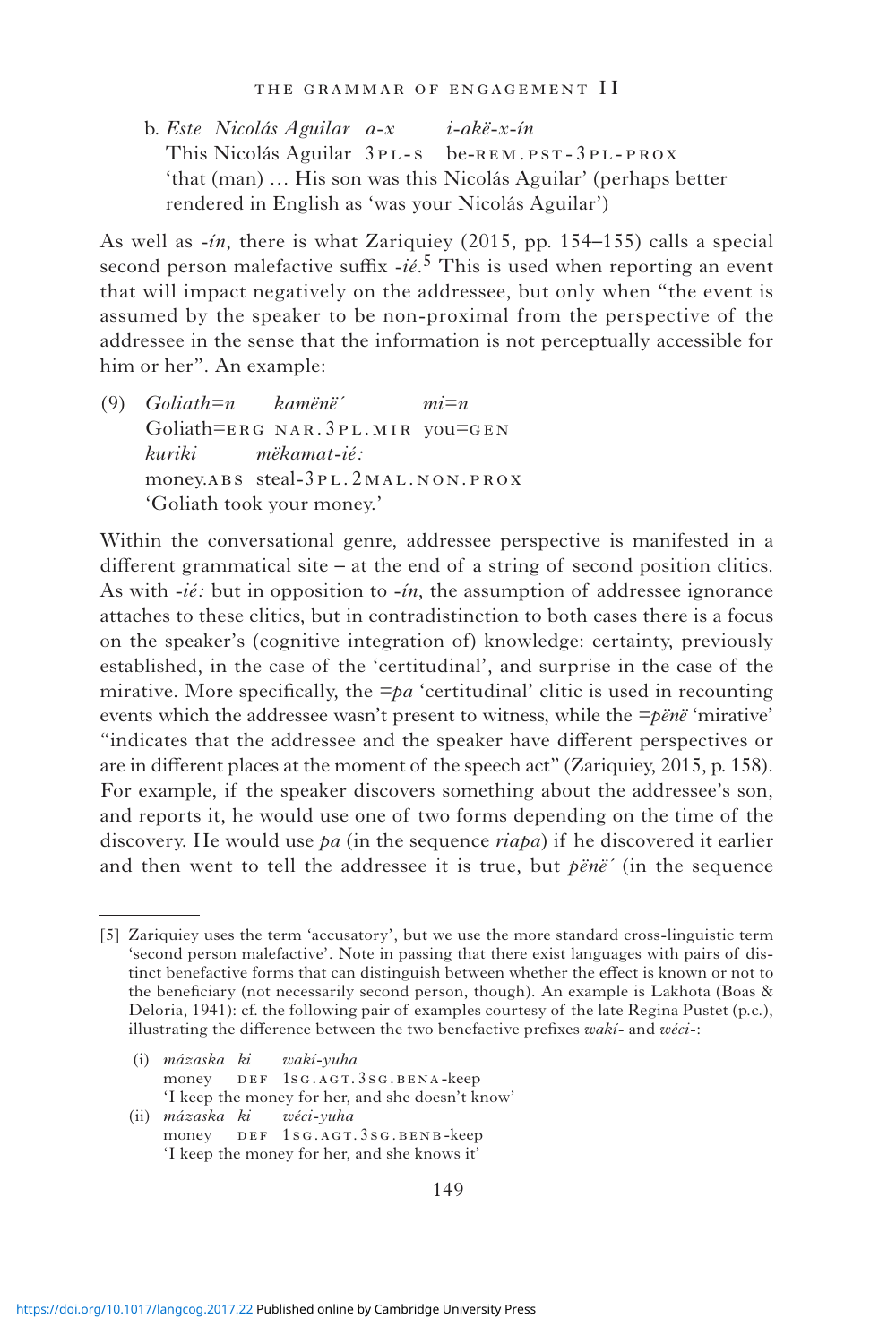#### the grammar of engagement II

b. *Este Nicolás Aguilar a-x i-akë-x-ín* This Nicolás Aguilar 3pl-s be-rem.pst-3pl-prox 'that (man) … His son was this Nicolás Aguilar' (perhaps better rendered in English as 'was your Nicolás Aguilar')

As well as *-ín*, there is what Zariquiey (2015, pp. 154–155) calls a special second person malefactive suffix *-ié*. 5 This is used when reporting an event that will impact negatively on the addressee, but only when "the event is assumed by the speaker to be non-proximal from the perspective of the addressee in the sense that the information is not perceptually accessible for him or her". An example:

(9) *Goliath=n kamënë´ mi=n* Goliath=erg nar.3pl.mir you=gen *kuriki mëkamat-ié:* money.ABS steal-3pl.2MAL.NON.PROX 'Goliath took your money.'

Within the conversational genre, addressee perspective is manifested in a different grammatical site – at the end of a string of second position clitics. As with *-ié:* but in opposition to *-ín*, the assumption of addressee ignorance attaches to these clitics, but in contradistinction to both cases there is a focus on the speaker's (cognitive integration of) knowledge: certainty, previously established, in the case of the 'certitudinal', and surprise in the case of the mirative. More specifically, the  $=p_a$  'certitudinal' clitic is used in recounting events which the addressee wasn't present to witness, while the *=pënë* 'mirative' "indicates that the addressee and the speaker have different perspectives or are in different places at the moment of the speech act" (Zariquiey, 2015, p. 158). For example, if the speaker discovers something about the addressee's son, and reports it, he would use one of two forms depending on the time of the discovery. He would use *pa* (in the sequence *riapa*) if he discovered it earlier and then went to tell the addressee it is true, but *pënë´* (in the sequence

- (i) *mázaska ki wakí-yuha* money DEF 1sg.AGT.3sg.BENA-keep 'I keep the money for her, and she doesn't know'
- (ii) *mázaska ki wéci-yuha* money DEF 1sg.agt.3sg.benb-keep 'I keep the money for her, and she knows it'

<sup>[5]</sup> Zariquiey uses the term 'accusatory', but we use the more standard cross-linguistic term 'second person malefactive'. Note in passing that there exist languages with pairs of distinct benefactive forms that can distinguish between whether the effect is known or not to the beneficiary (not necessarily second person, though). An example is Lakhota (Boas & Deloria, 1941): cf. the following pair of examples courtesy of the late Regina Pustet (p.c.), illustrating the difference between the two benefactive prefixes *wakí-* and *wéci-*: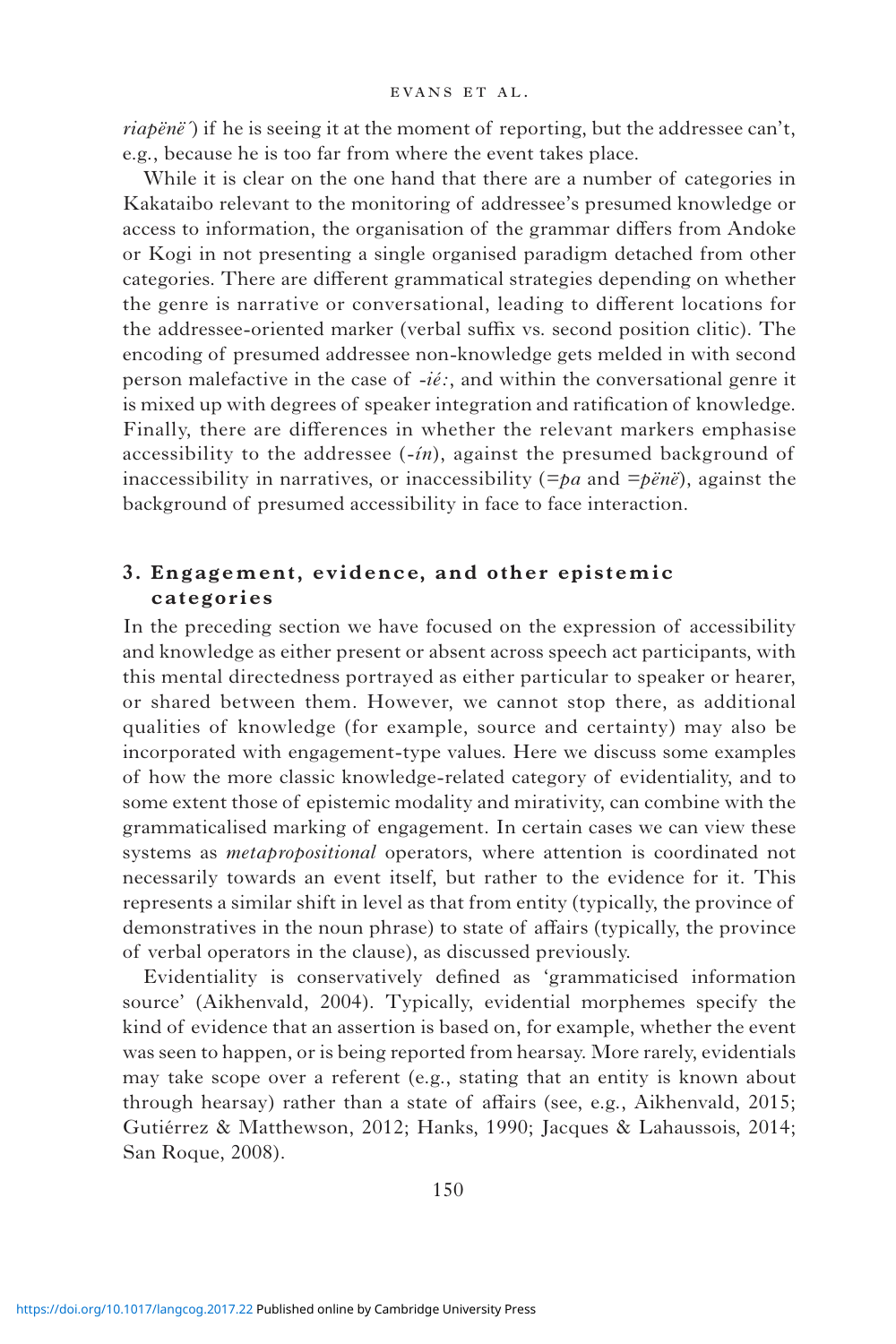*riapënë´*) if he is seeing it at the moment of reporting, but the addressee can't, e.g., because he is too far from where the event takes place.

While it is clear on the one hand that there are a number of categories in Kakataibo relevant to the monitoring of addressee's presumed knowledge or access to information, the organisation of the grammar differs from Andoke or Kogi in not presenting a single organised paradigm detached from other categories. There are different grammatical strategies depending on whether the genre is narrative or conversational, leading to different locations for the addressee-oriented marker (verbal suffix vs. second position clitic). The encoding of presumed addressee non-knowledge gets melded in with second person malefactive in the case of *-ié:*, and within the conversational genre it is mixed up with degrees of speaker integration and ratification of knowledge. Finally, there are differences in whether the relevant markers emphasise accessibility to the addressee (*-ín*), against the presumed background of inaccessibility in narratives, or inaccessibility (*=pa* and *=pënë*), against the background of presumed accessibility in face to face interaction.

# **3. Engagement, evidence, and other epistemic categories**

In the preceding section we have focused on the expression of accessibility and knowledge as either present or absent across speech act participants, with this mental directedness portrayed as either particular to speaker or hearer, or shared between them. However, we cannot stop there, as additional qualities of knowledge (for example, source and certainty) may also be incorporated with engagement-type values. Here we discuss some examples of how the more classic knowledge-related category of evidentiality, and to some extent those of epistemic modality and mirativity, can combine with the grammaticalised marking of engagement. In certain cases we can view these systems as *metapropositional* operators, where attention is coordinated not necessarily towards an event itself, but rather to the evidence for it. This represents a similar shift in level as that from entity (typically, the province of demonstratives in the noun phrase) to state of affairs (typically, the province of verbal operators in the clause), as discussed previously.

Evidentiality is conservatively defined as 'grammaticised information source' (Aikhenvald, 2004). Typically, evidential morphemes specify the kind of evidence that an assertion is based on, for example, whether the event was seen to happen, or is being reported from hearsay. More rarely, evidentials may take scope over a referent (e.g., stating that an entity is known about through hearsay) rather than a state of affairs (see, e.g., Aikhenvald, 2015; Gutiérrez & Matthewson, 2012; Hanks, 1990; Jacques & Lahaussois, 2014; San Roque, 2008).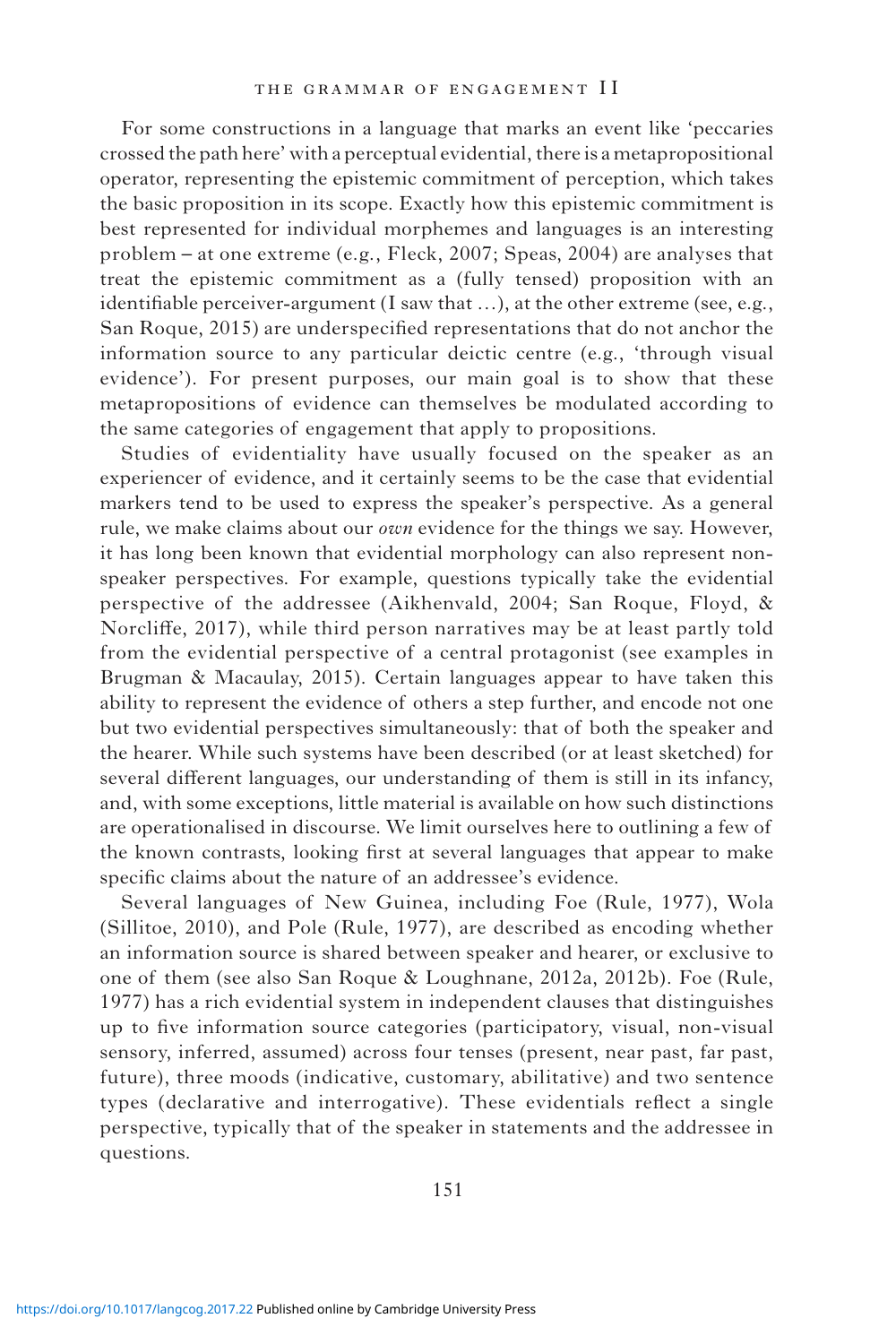For some constructions in a language that marks an event like 'peccaries crossed the path here' with a perceptual evidential, there is a metapropositional operator, representing the epistemic commitment of perception, which takes the basic proposition in its scope. Exactly how this epistemic commitment is best represented for individual morphemes and languages is an interesting problem – at one extreme (e.g., Fleck, 2007; Speas, 2004) are analyses that treat the epistemic commitment as a (fully tensed) proposition with an identifiable perceiver-argument (I saw that …), at the other extreme (see, e.g., San Roque, 2015) are underspecified representations that do not anchor the information source to any particular deictic centre (e.g., 'through visual evidence'). For present purposes, our main goal is to show that these metapropositions of evidence can themselves be modulated according to the same categories of engagement that apply to propositions.

Studies of evidentiality have usually focused on the speaker as an experiencer of evidence, and it certainly seems to be the case that evidential markers tend to be used to express the speaker's perspective. As a general rule, we make claims about our *own* evidence for the things we say. However, it has long been known that evidential morphology can also represent nonspeaker perspectives. For example, questions typically take the evidential perspective of the addressee (Aikhenvald, 2004; San Roque, Floyd, & Norcliffe, 2017), while third person narratives may be at least partly told from the evidential perspective of a central protagonist (see examples in Brugman & Macaulay, 2015). Certain languages appear to have taken this ability to represent the evidence of others a step further, and encode not one but two evidential perspectives simultaneously: that of both the speaker and the hearer. While such systems have been described (or at least sketched) for several different languages, our understanding of them is still in its infancy, and, with some exceptions, little material is available on how such distinctions are operationalised in discourse. We limit ourselves here to outlining a few of the known contrasts, looking first at several languages that appear to make specific claims about the nature of an addressee's evidence.

Several languages of New Guinea, including Foe (Rule, 1977), Wola (Sillitoe, 2010), and Pole (Rule, 1977), are described as encoding whether an information source is shared between speaker and hearer, or exclusive to one of them (see also San Roque & Loughnane, 2012a, 2012b). Foe (Rule, 1977) has a rich evidential system in independent clauses that distinguishes up to five information source categories (participatory, visual, non-visual sensory, inferred, assumed) across four tenses (present, near past, far past, future), three moods (indicative, customary, abilitative) and two sentence types (declarative and interrogative). These evidentials reflect a single perspective, typically that of the speaker in statements and the addressee in questions.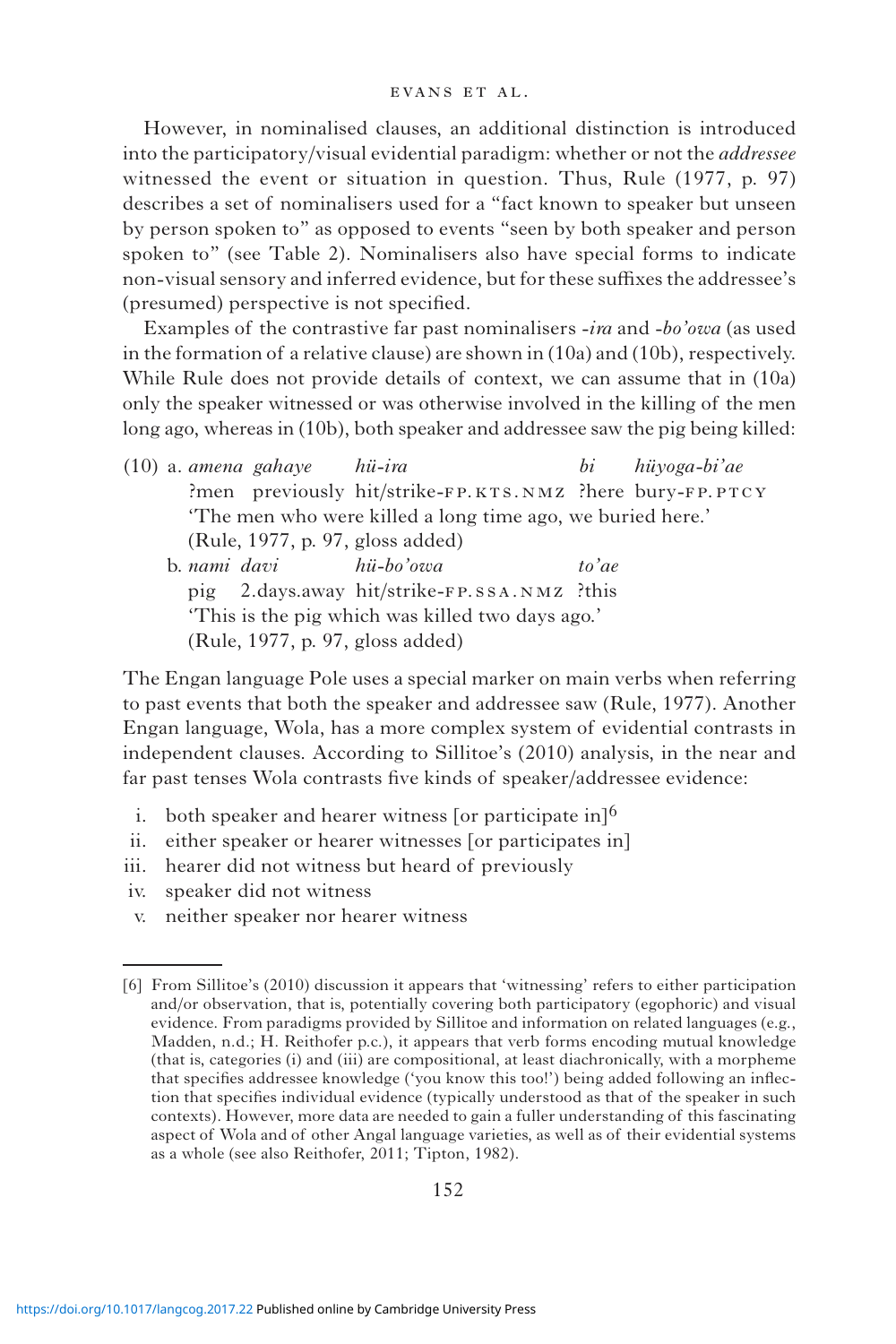However, in nominalised clauses, an additional distinction is introduced into the participatory/visual evidential paradigm: whether or not the *addressee* witnessed the event or situation in question. Thus, Rule (1977, p. 97) describes a set of nominalisers used for a "fact known to speaker but unseen by person spoken to" as opposed to events "seen by both speaker and person spoken to" (see Table 2). Nominalisers also have special forms to indicate non-visual sensory and inferred evidence, but for these suffixes the addressee's (presumed) perspective is not specified.

Examples of the contrastive far past nominalisers *-ira* and *-bo'owa* (as used in the formation of a relative clause) are shown in  $(10a)$  and  $(10b)$ , respectively. While Rule does not provide details of context, we can assume that in (10a) only the speaker witnessed or was otherwise involved in the killing of the men long ago, whereas in (10b), both speaker and addressee saw the pig being killed:

|  |  | $(10)$ a. amena gahaye hii-ira |                                                            |       | bi hüyoga-bi'ae |
|--|--|--------------------------------|------------------------------------------------------------|-------|-----------------|
|  |  |                                | ?men previously hit/strike-FP.KTS.NMZ ?here bury-FP.PTCY   |       |                 |
|  |  |                                | 'The men who were killed a long time ago, we buried here.' |       |                 |
|  |  |                                | (Rule, 1977, p. 97, gloss added)                           |       |                 |
|  |  | b. nami davi hii-bo'owa        |                                                            | to'ae |                 |
|  |  |                                | pig 2.days.away hit/strike-FP.SSA.NMZ ?this                |       |                 |
|  |  |                                | This is the pig which was killed two days ago.'            |       |                 |
|  |  |                                | (Rule, 1977, p. 97, gloss added)                           |       |                 |

The Engan language Pole uses a special marker on main verbs when referring to past events that both the speaker and addressee saw (Rule, 1977). Another Engan language, Wola, has a more complex system of evidential contrasts in independent clauses. According to Sillitoe's (2010) analysis, in the near and far past tenses Wola contrasts five kinds of speaker/addressee evidence:

- i. both speaker and hearer witness [or participate in]<sup>6</sup>
- ii. either speaker or hearer witnesses [or participates in]
- iii. hearer did not witness but heard of previously
- iv. speaker did not witness
- v. neither speaker nor hearer witness

<sup>[6]</sup> From Sillitoe's (2010) discussion it appears that 'witnessing' refers to either participation and/or observation, that is, potentially covering both participatory (egophoric) and visual evidence. From paradigms provided by Sillitoe and information on related languages (e.g., Madden, n.d.; H. Reithofer p.c.), it appears that verb forms encoding mutual knowledge (that is, categories (i) and (iii) are compositional, at least diachronically, with a morpheme that specifies addressee knowledge ('you know this too!') being added following an inflection that specifies individual evidence (typically understood as that of the speaker in such contexts). However, more data are needed to gain a fuller understanding of this fascinating aspect of Wola and of other Angal language varieties, as well as of their evidential systems as a whole (see also Reithofer, 2011; Tipton, 1982).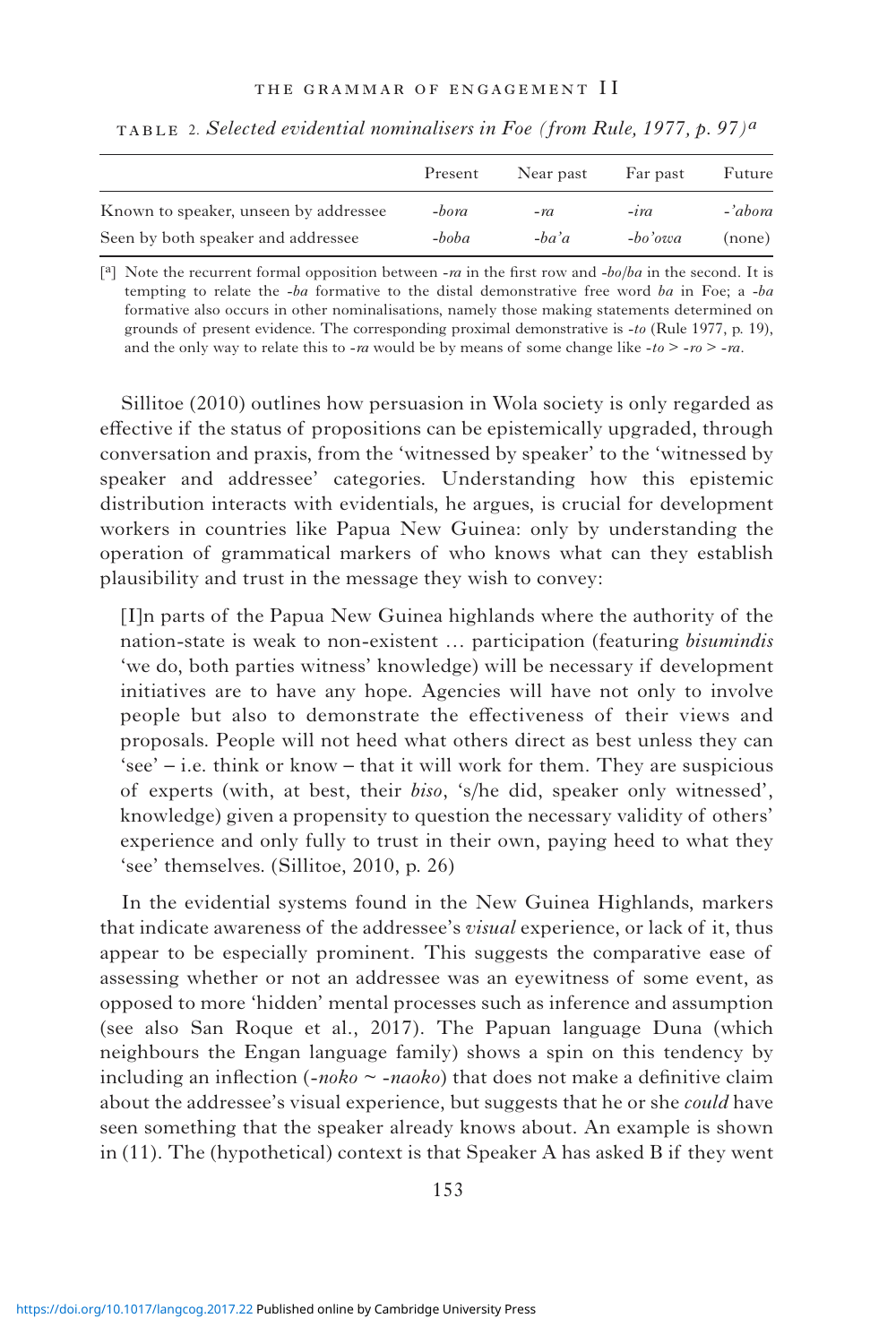#### the grammar of engagement II

|                                       | Present  | Near past | Far past  | Future  |
|---------------------------------------|----------|-----------|-----------|---------|
| Known to speaker, unseen by addressee | -bora    | $-ra$     | $-1ra$    | -'abora |
| Seen by both speaker and addressee    | $-b$ oba | $-ba'a$   | $-bo'ova$ | (none)  |

table 2. *Selected evidential nominalisers in Foe (from Rule, 1977, p. 97)a*

[a] Note the recurrent formal opposition between *-ra* in the first row and *-bo/ba* in the second. It is tempting to relate the *-ba* formative to the distal demonstrative free word *ba* in Foe; a *-ba* formative also occurs in other nominalisations, namely those making statements determined on grounds of present evidence. The corresponding proximal demonstrative is *-to* (Rule 1977, p. 19), and the only way to relate this to *-ra* would be by means of some change like *-to* > *-ro* > *-ra*.

Sillitoe (2010) outlines how persuasion in Wola society is only regarded as effective if the status of propositions can be epistemically upgraded, through conversation and praxis, from the 'witnessed by speaker' to the 'witnessed by speaker and addressee' categories. Understanding how this epistemic distribution interacts with evidentials, he argues, is crucial for development workers in countries like Papua New Guinea: only by understanding the operation of grammatical markers of who knows what can they establish plausibility and trust in the message they wish to convey:

[I]n parts of the Papua New Guinea highlands where the authority of the nation-state is weak to non-existent … participation (featuring *bisumindis* 'we do, both parties witness' knowledge) will be necessary if development initiatives are to have any hope. Agencies will have not only to involve people but also to demonstrate the effectiveness of their views and proposals. People will not heed what others direct as best unless they can 'see' – i.e. think or know – that it will work for them. They are suspicious of experts (with, at best, their *biso*, 's/he did, speaker only witnessed', knowledge) given a propensity to question the necessary validity of others' experience and only fully to trust in their own, paying heed to what they 'see' themselves. (Sillitoe, 2010, p. 26)

In the evidential systems found in the New Guinea Highlands, markers that indicate awareness of the addressee's *visual* experience, or lack of it, thus appear to be especially prominent. This suggests the comparative ease of assessing whether or not an addressee was an eyewitness of some event, as opposed to more 'hidden' mental processes such as inference and assumption (see also San Roque et al., 2017). The Papuan language Duna (which neighbours the Engan language family) shows a spin on this tendency by including an inflection (*-noko ~ -naoko*) that does not make a definitive claim about the addressee's visual experience, but suggests that he or she *could* have seen something that the speaker already knows about. An example is shown in (11). The (hypothetical) context is that Speaker A has asked B if they went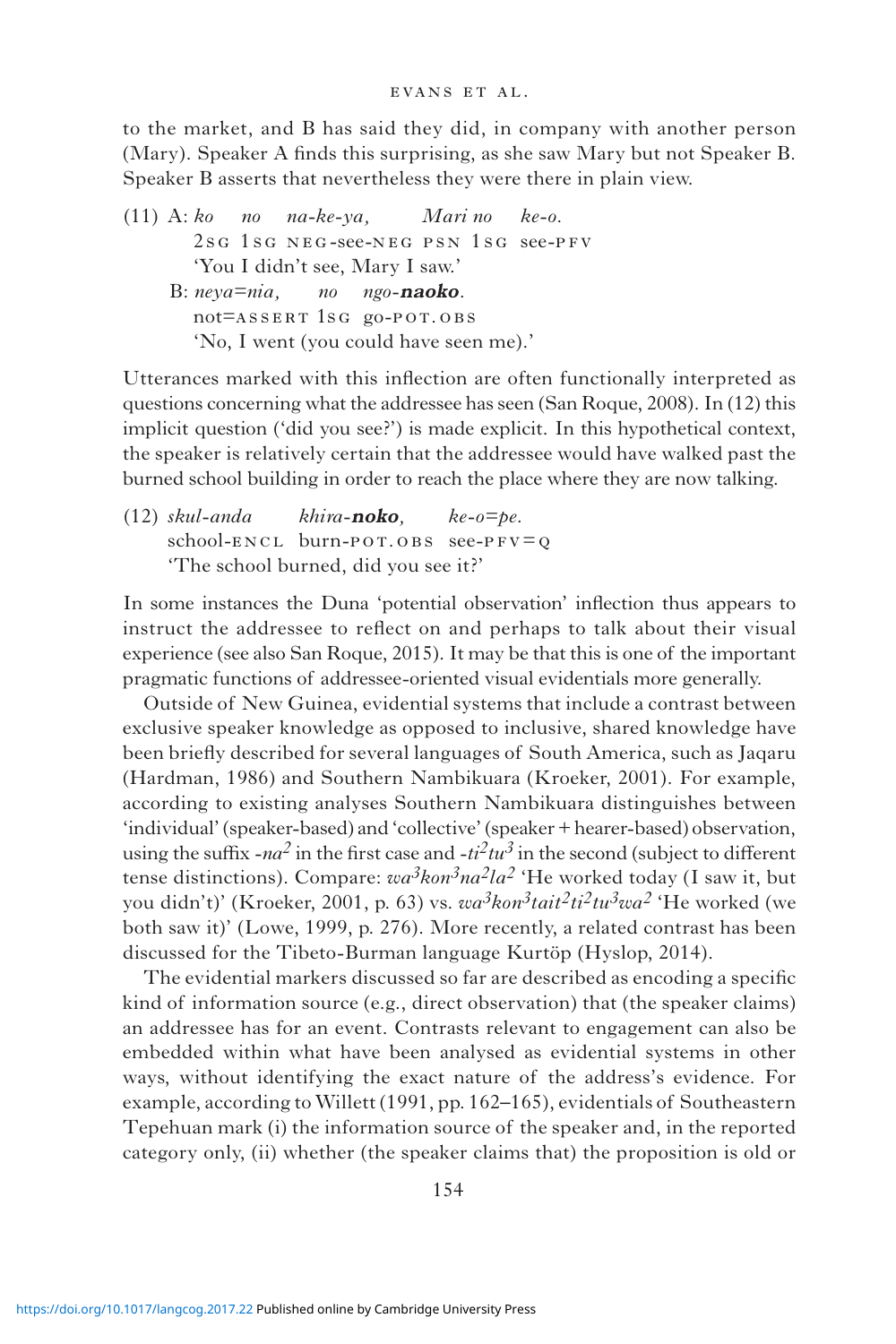to the market, and B has said they did, in company with another person (Mary). Speaker A finds this surprising, as she saw Mary but not Speaker B. Speaker B asserts that nevertheless they were there in plain view.

(11) A: *ko no na-ke-ya, Mari no ke-o.* 2sg 1sg neg-see-neg psn 1sg see-pfv 'You I didn't see, Mary I saw.' B: *neya=nia, no ngo-***naoko***.* not=assert 1sg go-pot.obs 'No, I went (you could have seen me).'

Utterances marked with this inflection are often functionally interpreted as questions concerning what the addressee has seen (San Roque, 2008). In (12) this implicit question ('did you see?') is made explicit. In this hypothetical context, the speaker is relatively certain that the addressee would have walked past the burned school building in order to reach the place where they are now talking.

(12) *skul-anda khira-***noko***, ke-o=pe.*  $school$ - $ENCL$  burn-pot.obs  $see$ - $PFV=Q$ 'The school burned, did you see it?'

In some instances the Duna 'potential observation' inflection thus appears to instruct the addressee to reflect on and perhaps to talk about their visual experience (see also San Roque, 2015). It may be that this is one of the important pragmatic functions of addressee-oriented visual evidentials more generally.

Outside of New Guinea, evidential systems that include a contrast between exclusive speaker knowledge as opposed to inclusive, shared knowledge have been briefly described for several languages of South America, such as Jaqaru (Hardman, 1986) and Southern Nambikuara (Kroeker, 2001). For example, according to existing analyses Southern Nambikuara distinguishes between 'individual' (speaker-based) and 'collective' (speaker + hearer-based) observation, using the suffix *-na*<sup>2</sup> in the first case and *-ti*<sup>2</sup>*tu*<sup>3</sup> in the second (subject to different tense distinctions). Compare: *wa3kon3na2la2* 'He worked today (I saw it, but you didn't)' (Kroeker, 2001, p. 63) vs.  $wa^3kon^3tait^2ti^2tu^3wa^2$  'He worked (we both saw it)' (Lowe, 1999, p. 276). More recently, a related contrast has been discussed for the Tibeto-Burman language Kurtöp (Hyslop, 2014).

The evidential markers discussed so far are described as encoding a specific kind of information source (e.g., direct observation) that (the speaker claims) an addressee has for an event. Contrasts relevant to engagement can also be embedded within what have been analysed as evidential systems in other ways, without identifying the exact nature of the address's evidence. For example, according to Willett (1991, pp. 162–165), evidentials of Southeastern Tepehuan mark (i) the information source of the speaker and, in the reported category only, (ii) whether (the speaker claims that) the proposition is old or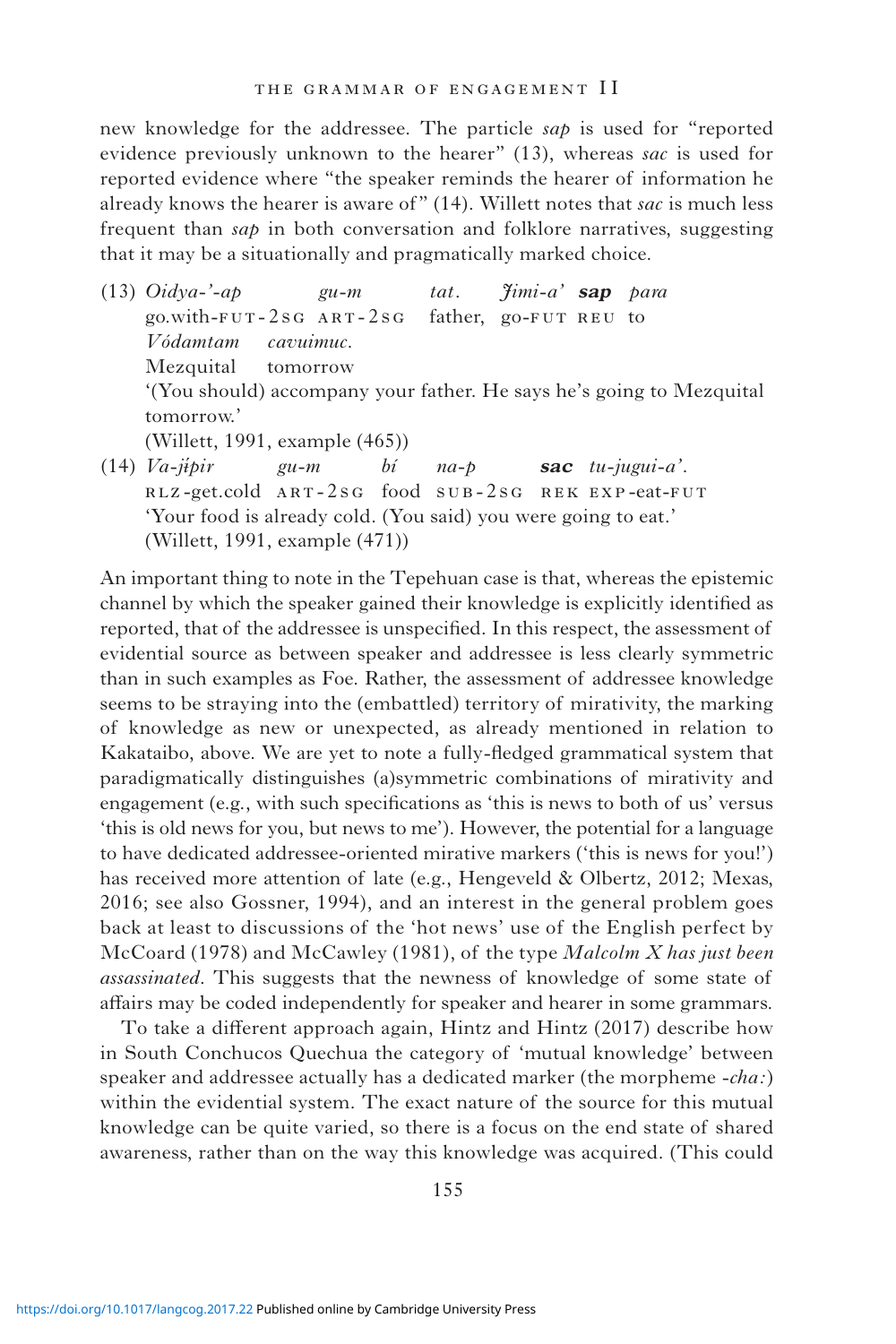new knowledge for the addressee. The particle *sap* is used for "reported evidence previously unknown to the hearer" (13), whereas *sac* is used for reported evidence where "the speaker reminds the hearer of information he already knows the hearer is aware of" (14). Willett notes that *sac* is much less frequent than *sap* in both conversation and folklore narratives, suggesting that it may be a situationally and pragmatically marked choice.

- (13) *Oidya-'-ap gu-m tat. Jimi-a'* **sap** *para* go.with-fut-2sg art-2sg father, go-fut reu to *Vódamtam cavuimuc.* Mezquital tomorrow '(You should) accompany your father. He says he's going to Mezquital tomorrow.' (Willett, 1991, example (465)) (14) *Va-jɨ́ pir gu-m bí na-p* **sac** *tu-jugui-a'.*
- rlz -get.cold art-2sg food sub-2sg rek exp-eat-fut 'Your food is already cold. (You said) you were going to eat.' (Willett, 1991, example (471))

An important thing to note in the Tepehuan case is that, whereas the epistemic channel by which the speaker gained their knowledge is explicitly identified as reported, that of the addressee is unspecified. In this respect, the assessment of evidential source as between speaker and addressee is less clearly symmetric than in such examples as Foe. Rather, the assessment of addressee knowledge seems to be straying into the (embattled) territory of mirativity, the marking of knowledge as new or unexpected, as already mentioned in relation to Kakataibo, above. We are yet to note a fully-fledged grammatical system that paradigmatically distinguishes (a)symmetric combinations of mirativity and engagement (e.g., with such specifications as 'this is news to both of us' versus 'this is old news for you, but news to me'). However, the potential for a language to have dedicated addressee-oriented mirative markers ('this is news for you!') has received more attention of late (e.g., Hengeveld & Olbertz, 2012; Mexas, 2016; see also Gossner, 1994), and an interest in the general problem goes back at least to discussions of the 'hot news' use of the English perfect by McCoard (1978) and McCawley (1981), of the type *Malcolm X has just been assassinated*. This suggests that the newness of knowledge of some state of affairs may be coded independently for speaker and hearer in some grammars.

To take a different approach again, Hintz and Hintz (2017) describe how in South Conchucos Quechua the category of 'mutual knowledge' between speaker and addressee actually has a dedicated marker (the morpheme *-cha:*) within the evidential system. The exact nature of the source for this mutual knowledge can be quite varied, so there is a focus on the end state of shared awareness, rather than on the way this knowledge was acquired. (This could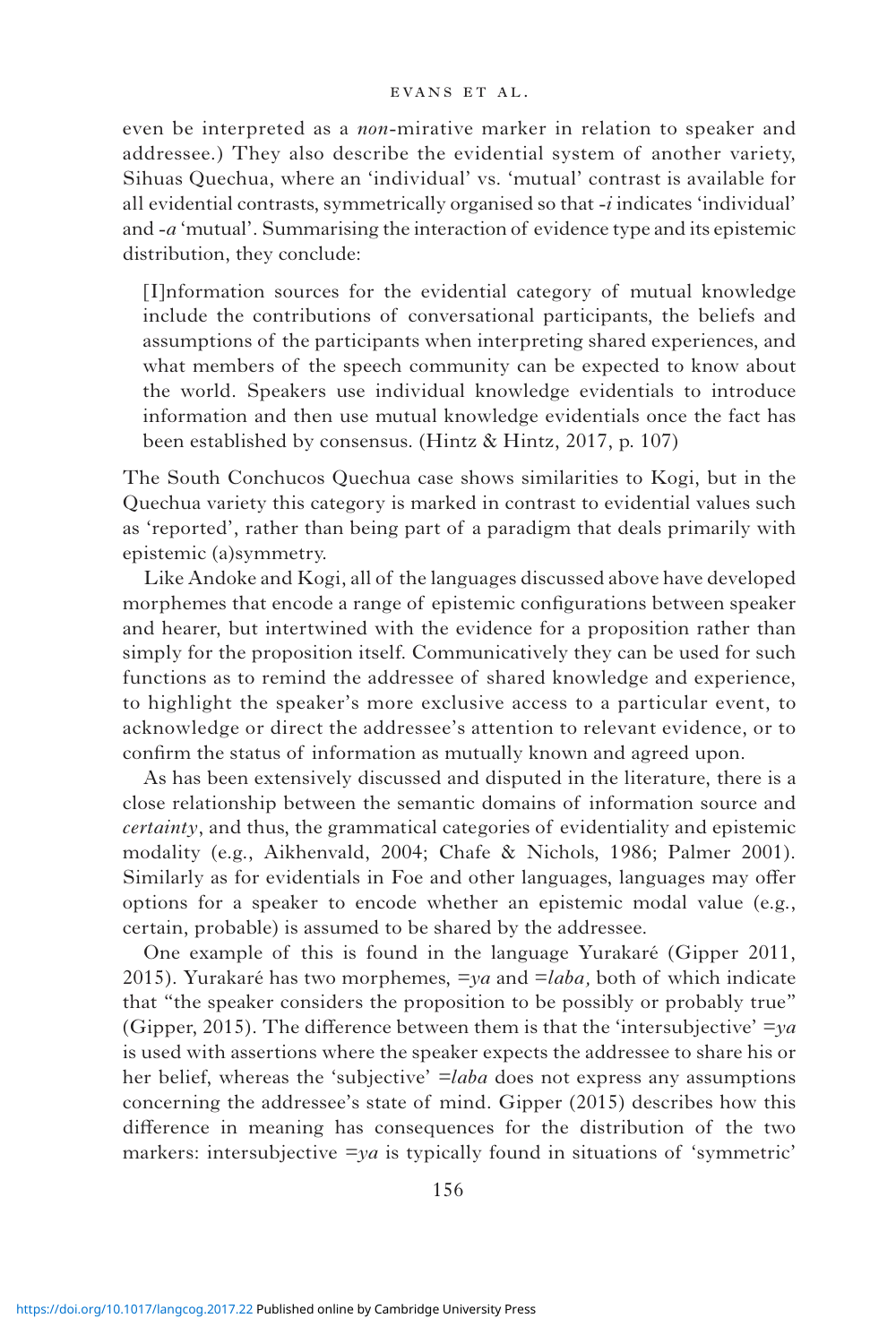even be interpreted as a *non-*mirative marker in relation to speaker and addressee.) They also describe the evidential system of another variety, Sihuas Quechua, where an 'individual' vs. 'mutual' contrast is available for all evidential contrasts, symmetrically organised so that *-i* indicates 'individual' and *-a* 'mutual'. Summarising the interaction of evidence type and its epistemic distribution, they conclude:

[I]nformation sources for the evidential category of mutual knowledge include the contributions of conversational participants, the beliefs and assumptions of the participants when interpreting shared experiences, and what members of the speech community can be expected to know about the world. Speakers use individual knowledge evidentials to introduce information and then use mutual knowledge evidentials once the fact has been established by consensus. (Hintz & Hintz, 2017, p. 107)

The South Conchucos Quechua case shows similarities to Kogi, but in the Quechua variety this category is marked in contrast to evidential values such as 'reported', rather than being part of a paradigm that deals primarily with epistemic (a)symmetry.

Like Andoke and Kogi, all of the languages discussed above have developed morphemes that encode a range of epistemic configurations between speaker and hearer, but intertwined with the evidence for a proposition rather than simply for the proposition itself. Communicatively they can be used for such functions as to remind the addressee of shared knowledge and experience, to highlight the speaker's more exclusive access to a particular event, to acknowledge or direct the addressee's attention to relevant evidence, or to confirm the status of information as mutually known and agreed upon.

As has been extensively discussed and disputed in the literature, there is a close relationship between the semantic domains of information source and *certainty*, and thus, the grammatical categories of evidentiality and epistemic modality (e.g., Aikhenvald, 2004; Chafe & Nichols, 1986; Palmer 2001). Similarly as for evidentials in Foe and other languages, languages may offer options for a speaker to encode whether an epistemic modal value (e.g., certain, probable) is assumed to be shared by the addressee.

One example of this is found in the language Yurakaré (Gipper 2011, 2015). Yurakaré has two morphemes, *=ya* and =*laba,* both of which indicate that "the speaker considers the proposition to be possibly or probably true" (Gipper, 2015). The difference between them is that the 'intersubjective'  $=$ ya is used with assertions where the speaker expects the addressee to share his or her belief, whereas the 'subjective' *=laba* does not express any assumptions concerning the addressee's state of mind. Gipper (2015) describes how this difference in meaning has consequences for the distribution of the two markers: intersubjective  $= \gamma a$  is typically found in situations of 'symmetric'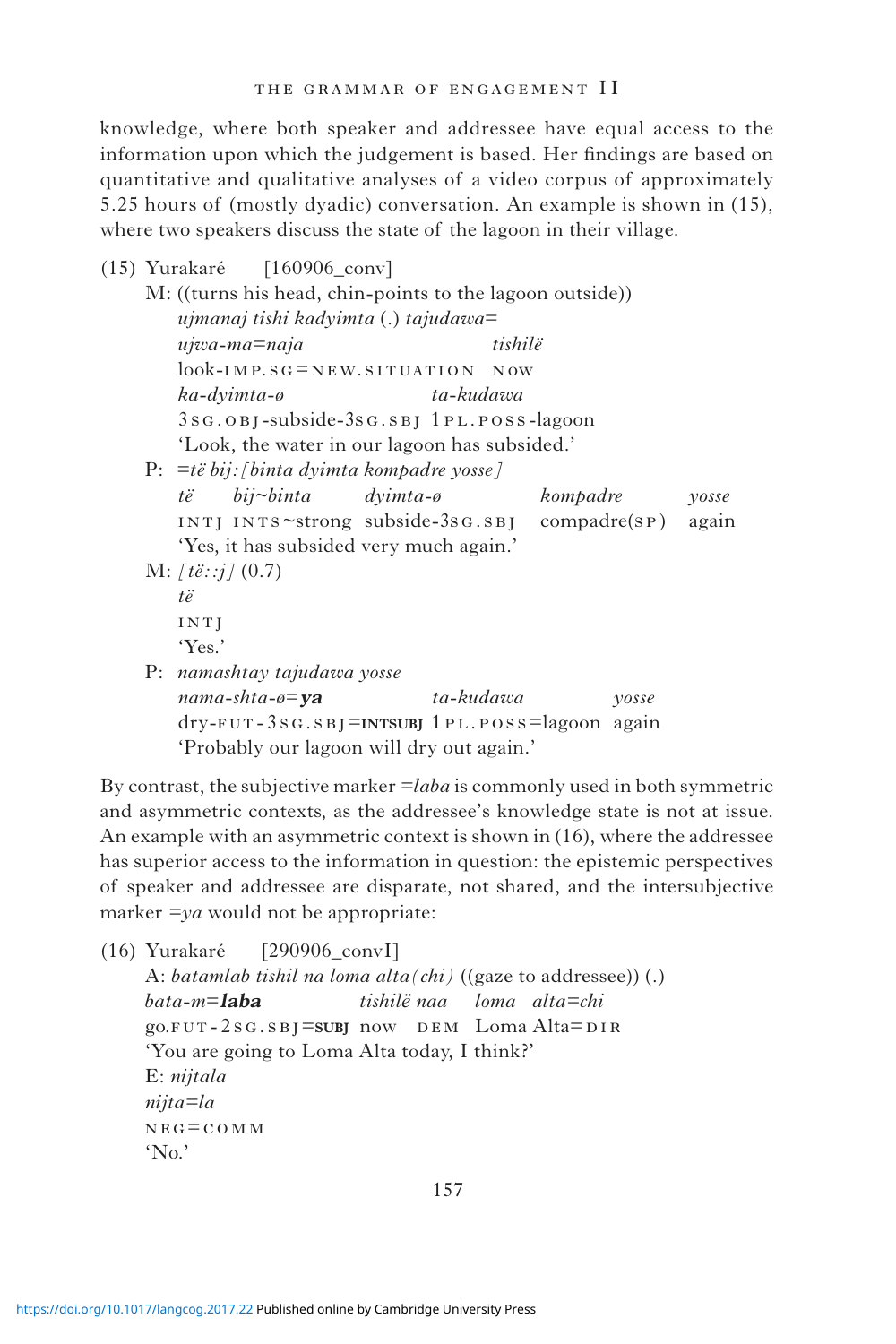knowledge, where both speaker and addressee have equal access to the information upon which the judgement is based. Her findings are based on quantitative and qualitative analyses of a video corpus of approximately 5.25 hours of (mostly dyadic) conversation. An example is shown in (15), where two speakers discuss the state of the lagoon in their village.

| (15) Yurakaré [160906_conv]                              |                |                                                            |  |           |  |          |       |
|----------------------------------------------------------|----------------|------------------------------------------------------------|--|-----------|--|----------|-------|
| M: ((turns his head, chin-points to the lagoon outside)) |                |                                                            |  |           |  |          |       |
| $ujmanaj tishi kadyimta(.) tajudawa=$                    |                |                                                            |  |           |  |          |       |
|                                                          |                | $uiwa-ma = naja$                                           |  | tishilë   |  |          |       |
|                                                          |                | $look-IMP.SG=NEW.SITUATION NOW$                            |  |           |  |          |       |
|                                                          | ka-dyimta-ø    |                                                            |  | ta-kudawa |  |          |       |
|                                                          |                | 3sg.obj-subside-3sg.sbj 1PL.poss-lagoon                    |  |           |  |          |       |
|                                                          |                | 'Look, the water in our lagoon has subsided.'              |  |           |  |          |       |
|                                                          |                | $P: =t\ddot{e}\;bi\dot{f}$ : [binta dyimta kompadre yosse] |  |           |  |          |       |
|                                                          | $t\ddot{\rho}$ | $bij \sim binta$ dyimta-ø                                  |  |           |  | kompadre | vosse |
|                                                          |                | INTJ INTS~strong subside-3s G.SBJ compadre(SP)             |  |           |  |          | again |
|                                                          |                | 'Yes, it has subsided very much again.'                    |  |           |  |          |       |
| $M: [t\ddot{e}::i]$ (0.7)                                |                |                                                            |  |           |  |          |       |
|                                                          | të             |                                                            |  |           |  |          |       |
|                                                          | INTI           |                                                            |  |           |  |          |       |
|                                                          | 'Yes.'         |                                                            |  |           |  |          |       |
|                                                          |                | P: namashtay tajudawa yosse                                |  |           |  |          |       |
|                                                          |                | $nama\text{-}shta-\theta = \mathbf{va}$                    |  | ta-kudawa |  | vosse    |       |
|                                                          |                | $dry-FUT-3SG.SBJ=INTSUB1PL.POSS=lagoon again$              |  |           |  |          |       |
| 'Probably our lagoon will dry out again.'                |                |                                                            |  |           |  |          |       |

By contrast, the subjective marker *=laba* is commonly used in both symmetric and asymmetric contexts, as the addressee's knowledge state is not at issue. An example with an asymmetric context is shown in (16), where the addressee has superior access to the information in question: the epistemic perspectives of speaker and addressee are disparate, not shared, and the intersubjective marker *=ya* would not be appropriate:

(16) Yurakaré [290906\_convI] A: *batamlab tishil na loma alta(chi)* ((gaze to addressee)) (.) *bata-m*=**laba** *tishilё naa loma alta=chi* go.fut-2sg.sbj=**subj** now dem Loma Alta=dir 'You are going to Loma Alta today, I think?' E: *nijtala nijta=la*  $NEG = COMM$ 'No.'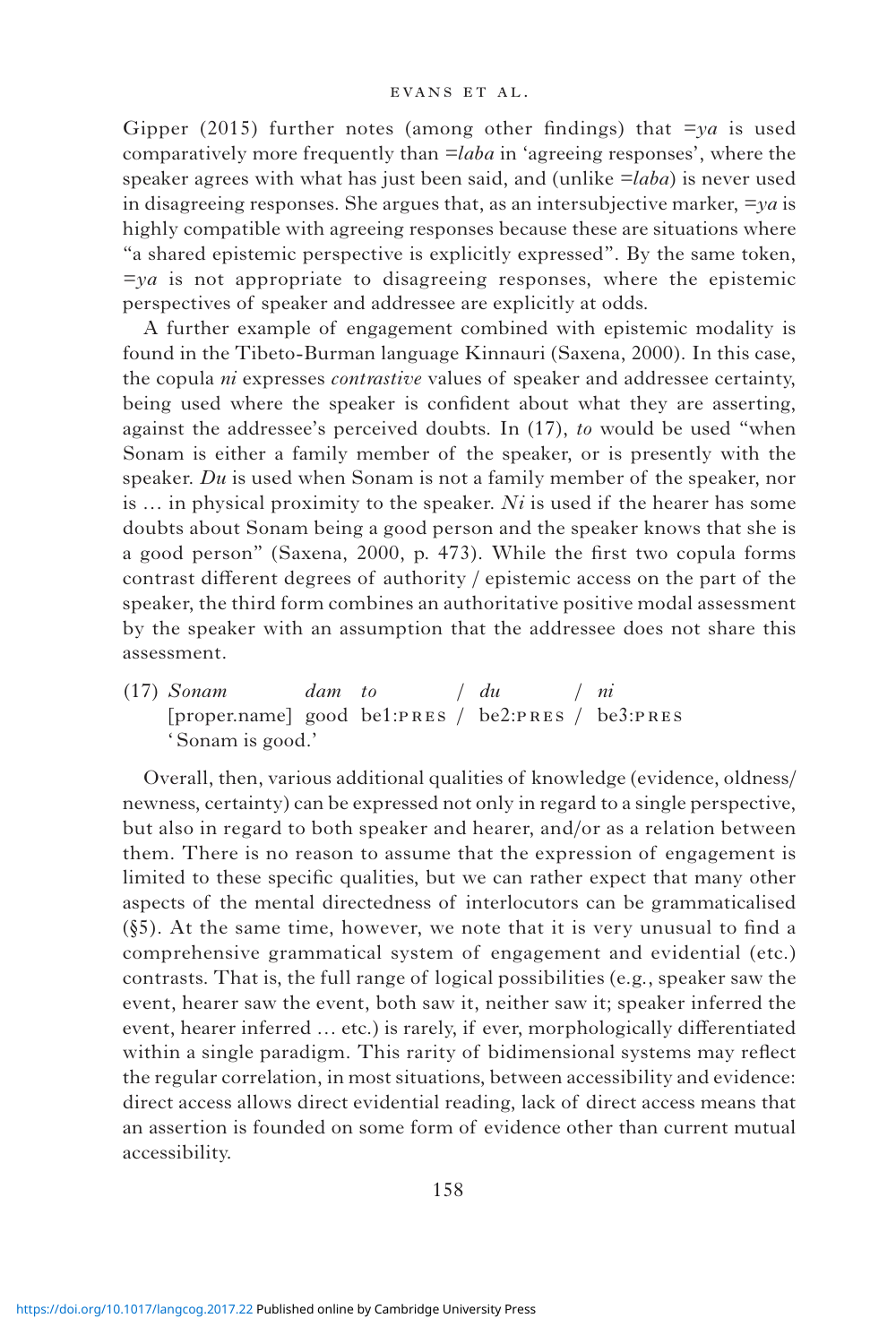Gipper (2015) further notes (among other findings) that *=ya* is used comparatively more frequently than *=laba* in 'agreeing responses', where the speaker agrees with what has just been said, and (unlike *=laba*) is never used in disagreeing responses. She argues that, as an intersubjective marker, *=ya* is highly compatible with agreeing responses because these are situations where "a shared epistemic perspective is explicitly expressed". By the same token,  $=ya$  is not appropriate to disagreeing responses, where the epistemic perspectives of speaker and addressee are explicitly at odds.

A further example of engagement combined with epistemic modality is found in the Tibeto-Burman language Kinnauri (Saxena, 2000). In this case, the copula *ni* expresses *contrastive* values of speaker and addressee certainty, being used where the speaker is confident about what they are asserting, against the addressee's perceived doubts. In (17), *to* would be used "when Sonam is either a family member of the speaker, or is presently with the speaker. *Du* is used when Sonam is not a family member of the speaker, nor is … in physical proximity to the speaker. *Ni* is used if the hearer has some doubts about Sonam being a good person and the speaker knows that she is a good person" (Saxena, 2000, p. 473). While the first two copula forms contrast different degrees of authority / epistemic access on the part of the speaker, the third form combines an authoritative positive modal assessment by the speaker with an assumption that the addressee does not share this assessment.

(17) *Sonam dam to* / *du* / *ni* [proper.name] good be1:pres / be2:pres / be3:pres 'Sonam is good.'

Overall, then, various additional qualities of knowledge (evidence, oldness/ newness, certainty) can be expressed not only in regard to a single perspective, but also in regard to both speaker and hearer, and/or as a relation between them. There is no reason to assume that the expression of engagement is limited to these specific qualities, but we can rather expect that many other aspects of the mental directedness of interlocutors can be grammaticalised (§5). At the same time, however, we note that it is very unusual to find a comprehensive grammatical system of engagement and evidential (etc.) contrasts. That is, the full range of logical possibilities (e.g., speaker saw the event, hearer saw the event, both saw it, neither saw it; speaker inferred the event, hearer inferred … etc.) is rarely, if ever, morphologically differentiated within a single paradigm. This rarity of bidimensional systems may reflect the regular correlation, in most situations, between accessibility and evidence: direct access allows direct evidential reading, lack of direct access means that an assertion is founded on some form of evidence other than current mutual accessibility.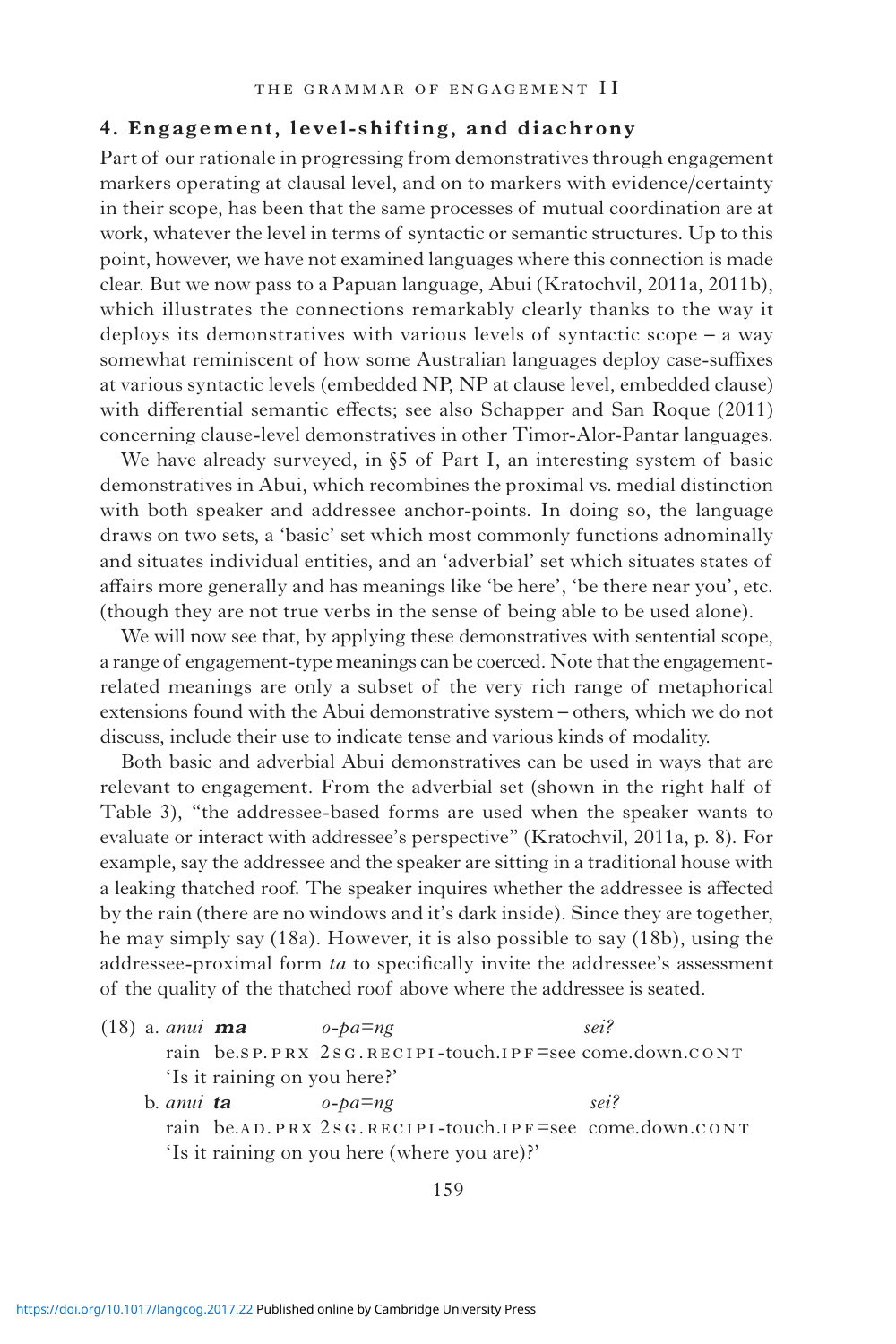### **4. Engagement, level-shifting, and diachrony**

Part of our rationale in progressing from demonstratives through engagement markers operating at clausal level, and on to markers with evidence/certainty in their scope, has been that the same processes of mutual coordination are at work, whatever the level in terms of syntactic or semantic structures. Up to this point, however, we have not examined languages where this connection is made clear. But we now pass to a Papuan language, Abui (Kratochvil, 2011a, 2011b), which illustrates the connections remarkably clearly thanks to the way it deploys its demonstratives with various levels of syntactic scope – a way somewhat reminiscent of how some Australian languages deploy case-suffixes at various syntactic levels (embedded NP, NP at clause level, embedded clause) with differential semantic effects; see also Schapper and San Roque (2011) concerning clause-level demonstratives in other Timor-Alor-Pantar languages.

We have already surveyed, in §5 of Part I, an interesting system of basic demonstratives in Abui, which recombines the proximal vs. medial distinction with both speaker and addressee anchor-points. In doing so, the language draws on two sets, a 'basic' set which most commonly functions adnominally and situates individual entities, and an 'adverbial' set which situates states of affairs more generally and has meanings like 'be here', 'be there near you', etc. (though they are not true verbs in the sense of being able to be used alone).

We will now see that, by applying these demonstratives with sentential scope, a range of engagement-type meanings can be coerced. Note that the engagementrelated meanings are only a subset of the very rich range of metaphorical extensions found with the Abui demonstrative system – others, which we do not discuss, include their use to indicate tense and various kinds of modality.

Both basic and adverbial Abui demonstratives can be used in ways that are relevant to engagement. From the adverbial set (shown in the right half of Table 3), "the addressee-based forms are used when the speaker wants to evaluate or interact with addressee's perspective" (Kratochvil, 2011a, p. 8). For example, say the addressee and the speaker are sitting in a traditional house with a leaking thatched roof. The speaker inquires whether the addressee is affected by the rain (there are no windows and it's dark inside). Since they are together, he may simply say (18a). However, it is also possible to say (18b), using the addressee-proximal form *ta* to specifically invite the addressee's assessment of the quality of the thatched roof above where the addressee is seated.

- (18) a. *anui* **ma** *o-pa=ng sei?* rain be.sp. PRX 2sG.RECIPI-touch.IPF=see come.down.CONT 'Is it raining on you here?' b. *anui* **ta** *o-pa=ng sei?*
	- rain be.AD.PRX 2sG.RECIPI-touch.IPF=see come.down.CONT 'Is it raining on you here (where you are)?'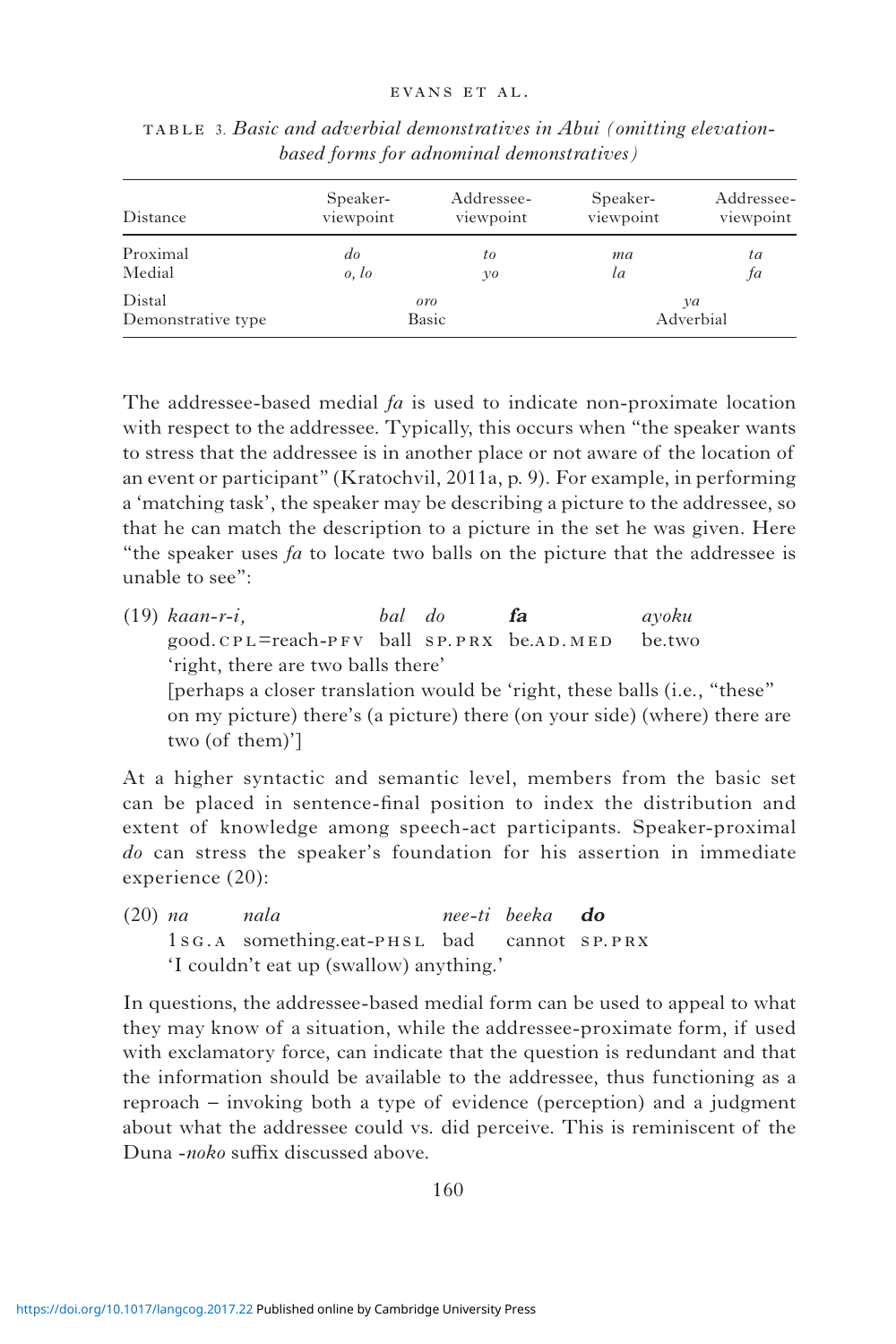| Distance           | Speaker-  | Addressee-                  | Speaker-  | Addressee- |
|--------------------|-----------|-----------------------------|-----------|------------|
|                    | viewpoint | viewpoint                   | viewpoint | viewpoint  |
| Proximal           | do        | to                          | ma        | ta         |
| Medial             | o, lo     | $\mathcal{V}^{\mathcal{O}}$ | la        | fa         |
| Distal             |           | oro                         |           | va         |
| Demonstrative type |           | Basic                       |           | Adverbial  |

table 3. *Basic and adverbial demonstratives in Abui (omitting elevationbased forms for adnominal demonstratives)*

The addressee-based medial *fa* is used to indicate non-proximate location with respect to the addressee. Typically, this occurs when "the speaker wants to stress that the addressee is in another place or not aware of the location of an event or participant" (Kratochvil, 2011a, p. 9). For example, in performing a 'matching task', the speaker may be describing a picture to the addressee, so that he can match the description to a picture in the set he was given. Here "the speaker uses *fa* to locate two balls on the picture that the addressee is unable to see":

(19) *kaan-r-i, bal do* **fa** *ayoku* good.cpl=reach-pfv ball sp.prx be.ad.med be.two 'right, there are two balls there' [perhaps a closer translation would be 'right, these balls (i.e., "these" on my picture) there's (a picture) there (on your side) (where) there are two (of them)']

At a higher syntactic and semantic level, members from the basic set can be placed in sentence-final position to index the distribution and extent of knowledge among speech-act participants. Speaker-proximal *do* can stress the speaker's foundation for his assertion in immediate experience (20):

(20) *na nala nee-ti beeka* **do** 1sg.a something.eat-phsl bad cannot sp.prx 'I couldn't eat up (swallow) anything.'

In questions, the addressee-based medial form can be used to appeal to what they may know of a situation, while the addressee-proximate form, if used with exclamatory force, can indicate that the question is redundant and that the information should be available to the addressee, thus functioning as a reproach – invoking both a type of evidence (perception) and a judgment about what the addressee could vs. did perceive. This is reminiscent of the Duna *-noko* suffix discussed above.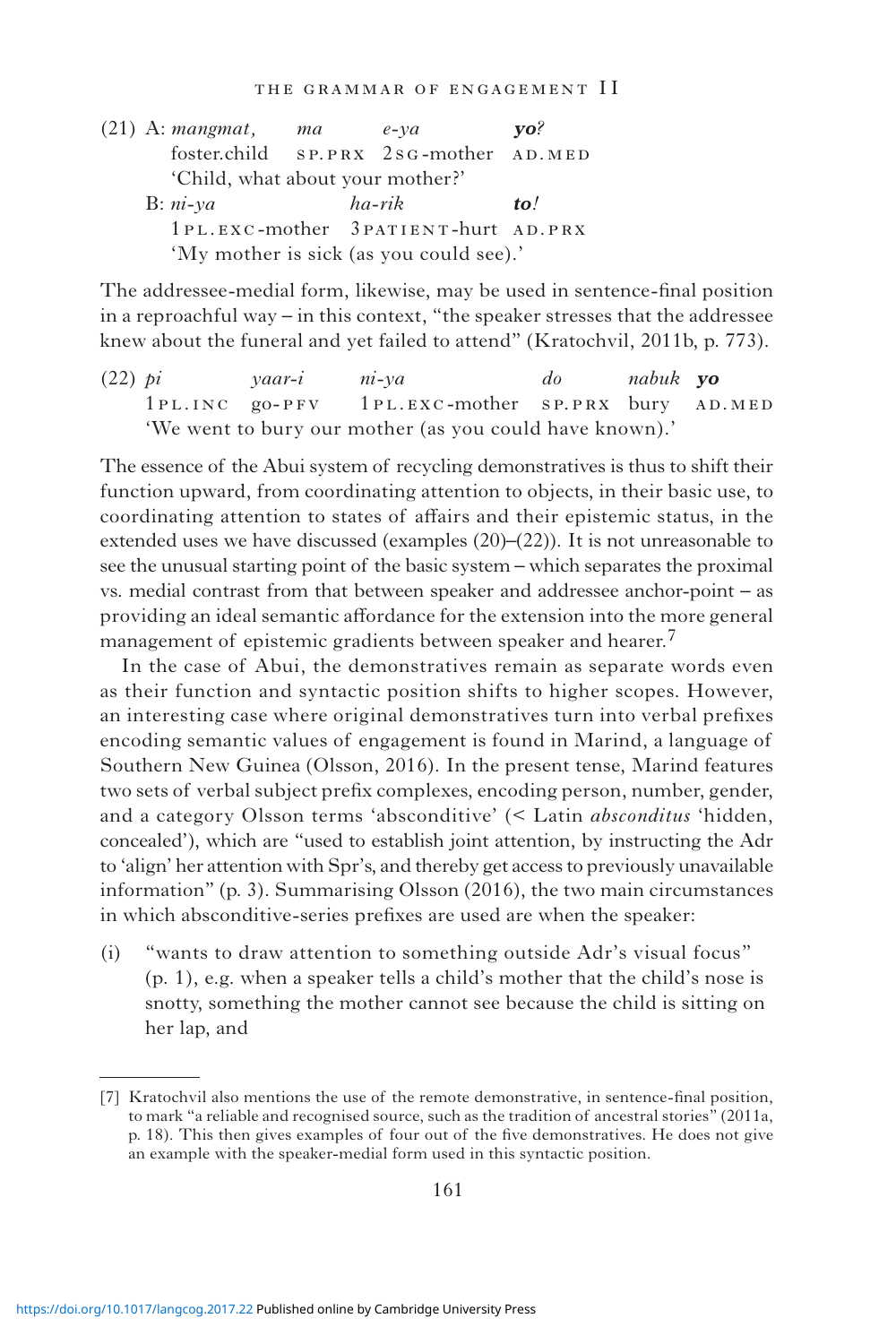| $(21)$ A: mangmat,                  | ma | $e$ - $va$                              | $\mathbf{v}\mathbf{o}^2$ |  |  |
|-------------------------------------|----|-----------------------------------------|--------------------------|--|--|
|                                     |    | foster.child SP.PRX 2SG-mother AD.MED   |                          |  |  |
| 'Child, what about your mother?'    |    |                                         |                          |  |  |
| $B: ni-va$                          |    | ha-rik                                  | to!                      |  |  |
| 1PL.EXC-mother 3PATIENT-hurt AD.PRX |    |                                         |                          |  |  |
|                                     |    | 'My mother is sick (as you could see).' |                          |  |  |

The addressee-medial form, likewise, may be used in sentence-final position in a reproachful way – in this context, "the speaker stresses that the addressee knew about the funeral and yet failed to attend" (Kratochvil, 2011b, p. 773).

| $(22)$ pi                                               |  | $\mathbf{v}$ ar-i ni- $\mathbf{v}$ a |                                                  | $d\sigma$ | nabuk <b>vo</b> |  |
|---------------------------------------------------------|--|--------------------------------------|--------------------------------------------------|-----------|-----------------|--|
|                                                         |  |                                      | 1PL.INC go-PFV 1PL.EXC-mother SP.PRX bury AD.MED |           |                 |  |
| 'We went to bury our mother (as you could have known).' |  |                                      |                                                  |           |                 |  |

The essence of the Abui system of recycling demonstratives is thus to shift their function upward, from coordinating attention to objects, in their basic use, to coordinating attention to states of affairs and their epistemic status, in the extended uses we have discussed (examples  $(20)$ – $(22)$ ). It is not unreasonable to see the unusual starting point of the basic system – which separates the proximal vs. medial contrast from that between speaker and addressee anchor-point – as providing an ideal semantic affordance for the extension into the more general management of epistemic gradients between speaker and hearer.<sup>7</sup>

In the case of Abui, the demonstratives remain as separate words even as their function and syntactic position shifts to higher scopes. However, an interesting case where original demonstratives turn into verbal prefixes encoding semantic values of engagement is found in Marind, a language of Southern New Guinea (Olsson, 2016). In the present tense, Marind features two sets of verbal subject prefix complexes, encoding person, number, gender, and a category Olsson terms 'absconditive' (< Latin *absconditus* 'hidden, concealed'), which are "used to establish joint attention, by instructing the Adr to 'align' her attention with Spr's, and thereby get access to previously unavailable information" (p. 3). Summarising Olsson (2016), the two main circumstances in which absconditive-series prefixes are used are when the speaker:

(i) "wants to draw attention to something outside Adr's visual focus" (p. 1), e.g. when a speaker tells a child's mother that the child's nose is snotty, something the mother cannot see because the child is sitting on her lap, and

<sup>[7]</sup> Kratochvil also mentions the use of the remote demonstrative, in sentence-final position, to mark "a reliable and recognised source, such as the tradition of ancestral stories" (2011a, p. 18). This then gives examples of four out of the five demonstratives. He does not give an example with the speaker-medial form used in this syntactic position.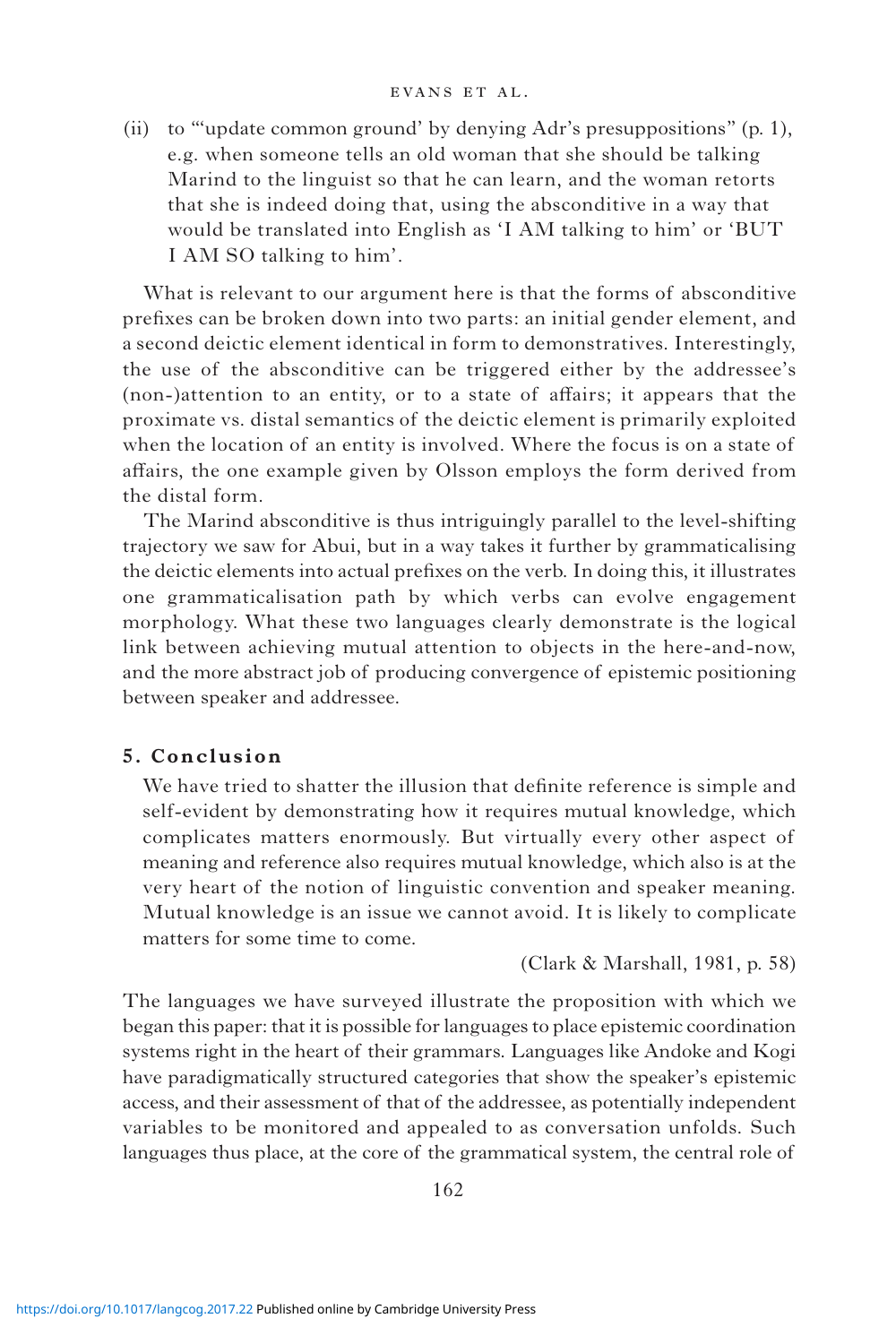(ii) to "'update common ground' by denying Adr's presuppositions" (p. 1), e.g. when someone tells an old woman that she should be talking Marind to the linguist so that he can learn, and the woman retorts that she is indeed doing that, using the absconditive in a way that would be translated into English as 'I AM talking to him' or 'BUT I AM SO talking to him'.

What is relevant to our argument here is that the forms of absconditive prefixes can be broken down into two parts: an initial gender element, and a second deictic element identical in form to demonstratives. Interestingly, the use of the absconditive can be triggered either by the addressee's (non-)attention to an entity, or to a state of affairs; it appears that the proximate vs. distal semantics of the deictic element is primarily exploited when the location of an entity is involved. Where the focus is on a state of affairs, the one example given by Olsson employs the form derived from the distal form.

The Marind absconditive is thus intriguingly parallel to the level-shifting trajectory we saw for Abui, but in a way takes it further by grammaticalising the deictic elements into actual prefixes on the verb. In doing this, it illustrates one grammaticalisation path by which verbs can evolve engagement morphology. What these two languages clearly demonstrate is the logical link between achieving mutual attention to objects in the here-and-now, and the more abstract job of producing convergence of epistemic positioning between speaker and addressee.

# **5. Conclusion**

We have tried to shatter the illusion that definite reference is simple and self-evident by demonstrating how it requires mutual knowledge, which complicates matters enormously. But virtually every other aspect of meaning and reference also requires mutual knowledge, which also is at the very heart of the notion of linguistic convention and speaker meaning. Mutual knowledge is an issue we cannot avoid. It is likely to complicate matters for some time to come.

(Clark & Marshall, 1981, p. 58)

The languages we have surveyed illustrate the proposition with which we began this paper: that it is possible for languages to place epistemic coordination systems right in the heart of their grammars. Languages like Andoke and Kogi have paradigmatically structured categories that show the speaker's epistemic access, and their assessment of that of the addressee, as potentially independent variables to be monitored and appealed to as conversation unfolds. Such languages thus place, at the core of the grammatical system, the central role of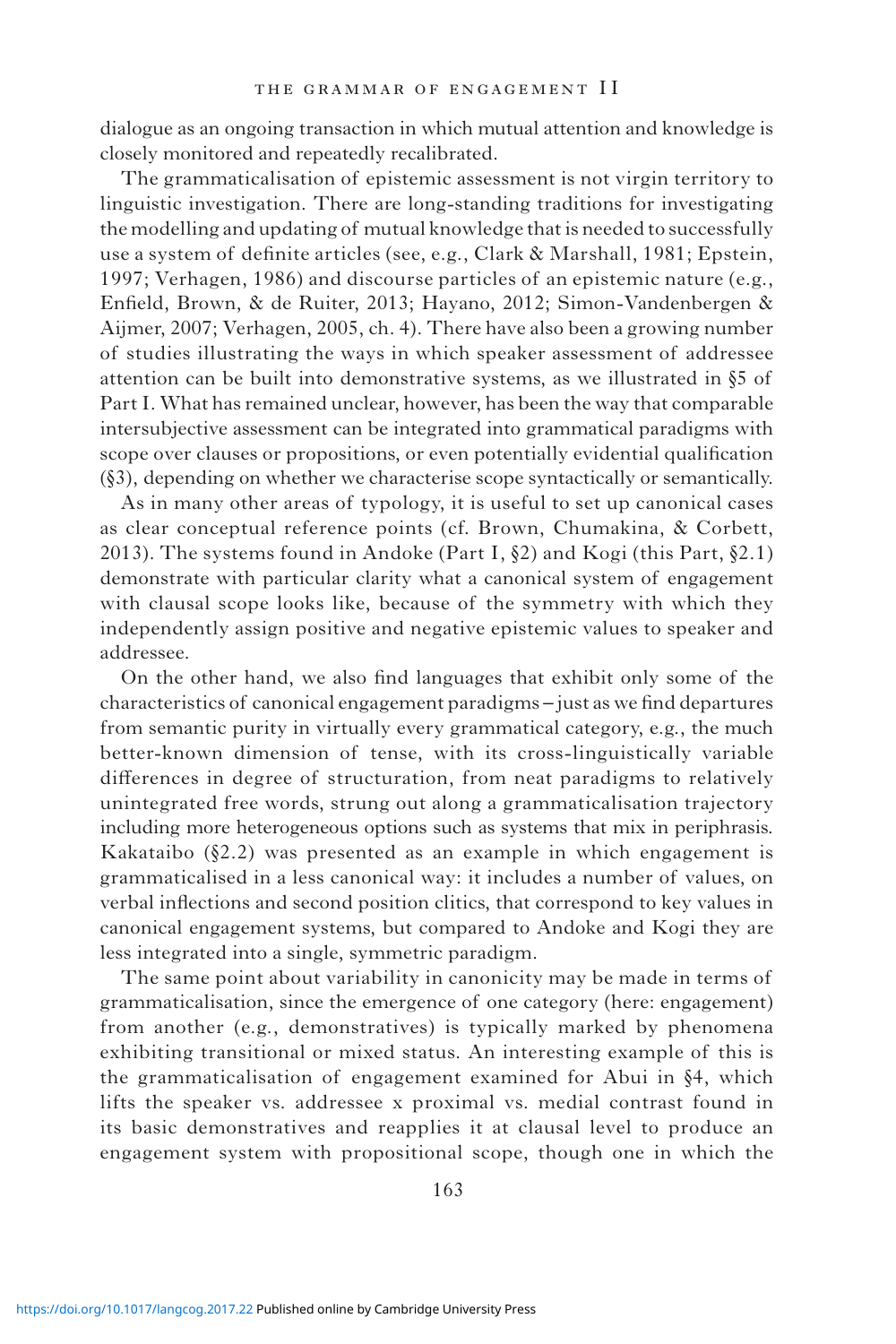dialogue as an ongoing transaction in which mutual attention and knowledge is closely monitored and repeatedly recalibrated.

The grammaticalisation of epistemic assessment is not virgin territory to linguistic investigation. There are long-standing traditions for investigating the modelling and updating of mutual knowledge that is needed to successfully use a system of definite articles (see, e.g., Clark & Marshall, 1981; Epstein, 1997; Verhagen, 1986) and discourse particles of an epistemic nature (e.g., Enfield, Brown, & de Ruiter, 2013; Hayano, 2012; Simon-Vandenbergen & Aijmer, 2007; Verhagen, 2005, ch. 4). There have also been a growing number of studies illustrating the ways in which speaker assessment of addressee attention can be built into demonstrative systems, as we illustrated in §5 of Part I. What has remained unclear, however, has been the way that comparable intersubjective assessment can be integrated into grammatical paradigms with scope over clauses or propositions, or even potentially evidential qualification (§3), depending on whether we characterise scope syntactically or semantically.

As in many other areas of typology, it is useful to set up canonical cases as clear conceptual reference points (cf. Brown, Chumakina, & Corbett, 2013). The systems found in Andoke (Part I, §2) and Kogi (this Part, §2.1) demonstrate with particular clarity what a canonical system of engagement with clausal scope looks like, because of the symmetry with which they independently assign positive and negative epistemic values to speaker and addressee.

On the other hand, we also find languages that exhibit only some of the characteristics of canonical engagement paradigms – just as we find departures from semantic purity in virtually every grammatical category, e.g., the much better-known dimension of tense, with its cross-linguistically variable differences in degree of structuration, from neat paradigms to relatively unintegrated free words, strung out along a grammaticalisation trajectory including more heterogeneous options such as systems that mix in periphrasis. Kakataibo (§2.2) was presented as an example in which engagement is grammaticalised in a less canonical way: it includes a number of values, on verbal inflections and second position clitics, that correspond to key values in canonical engagement systems, but compared to Andoke and Kogi they are less integrated into a single, symmetric paradigm.

The same point about variability in canonicity may be made in terms of grammaticalisation, since the emergence of one category (here: engagement) from another (e.g., demonstratives) is typically marked by phenomena exhibiting transitional or mixed status. An interesting example of this is the grammaticalisation of engagement examined for Abui in §4, which lifts the speaker vs. addressee x proximal vs. medial contrast found in its basic demonstratives and reapplies it at clausal level to produce an engagement system with propositional scope, though one in which the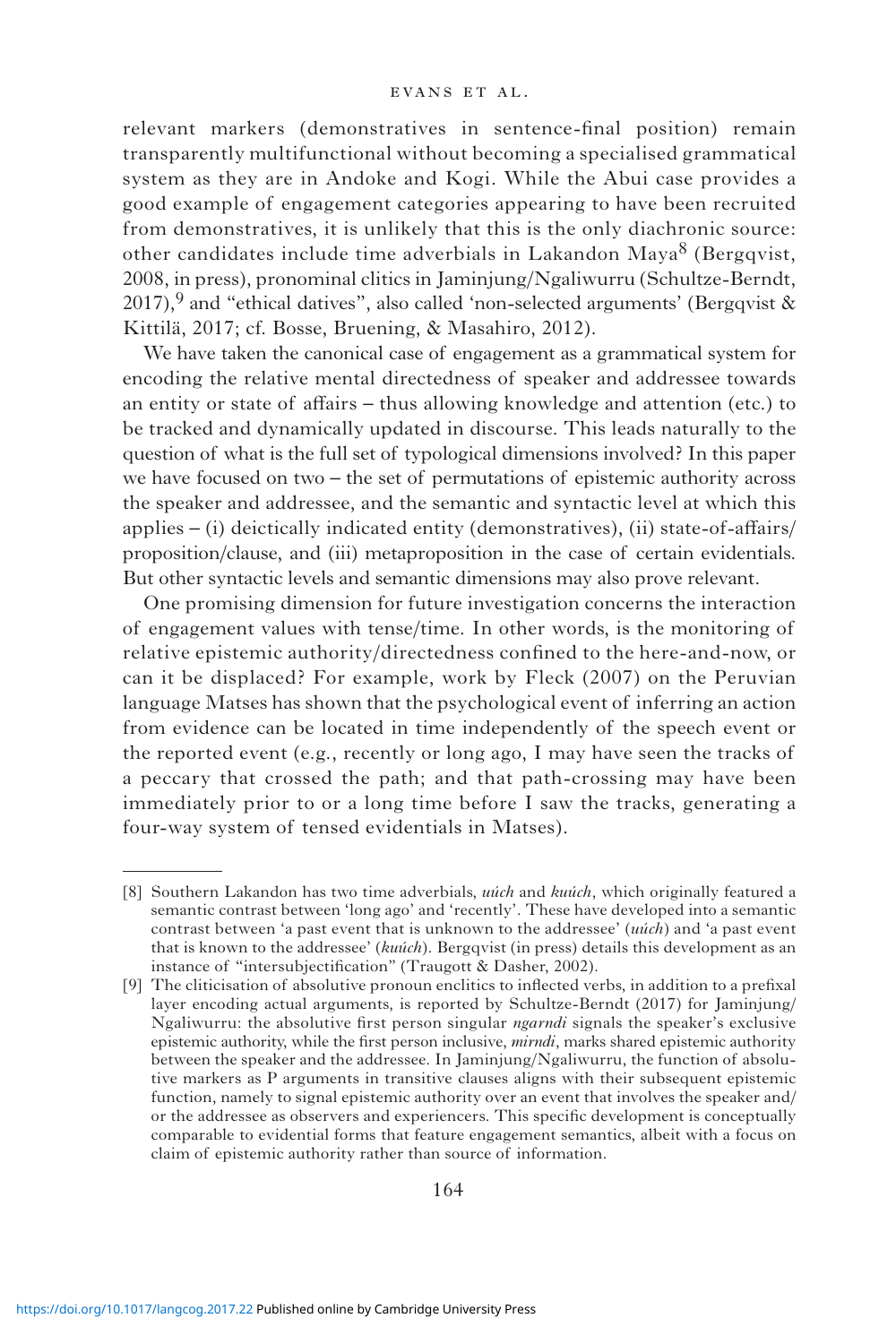relevant markers (demonstratives in sentence-final position) remain transparently multifunctional without becoming a specialised grammatical system as they are in Andoke and Kogi. While the Abui case provides a good example of engagement categories appearing to have been recruited from demonstratives, it is unlikely that this is the only diachronic source: other candidates include time adverbials in Lakandon Maya<sup>8</sup> (Bergqvist, 2008, in press), pronominal clitics in Jaminjung/Ngaliwurru (Schultze-Berndt, 2017),<sup>9</sup> and "ethical datives", also called 'non-selected arguments' (Bergqvist & Kittilä, 2017; cf. Bosse, Bruening, & Masahiro, 2012).

We have taken the canonical case of engagement as a grammatical system for encoding the relative mental directedness of speaker and addressee towards an entity or state of affairs – thus allowing knowledge and attention (etc.) to be tracked and dynamically updated in discourse. This leads naturally to the question of what is the full set of typological dimensions involved? In this paper we have focused on two – the set of permutations of epistemic authority across the speaker and addressee, and the semantic and syntactic level at which this applies  $-$  (i) deictically indicated entity (demonstratives), (ii) state-of-affairs/ proposition/clause, and (iii) metaproposition in the case of certain evidentials. But other syntactic levels and semantic dimensions may also prove relevant.

One promising dimension for future investigation concerns the interaction of engagement values with tense/time. In other words, is the monitoring of relative epistemic authority/directedness confined to the here-and-now, or can it be displaced? For example, work by Fleck (2007) on the Peruvian language Matses has shown that the psychological event of inferring an action from evidence can be located in time independently of the speech event or the reported event (e.g., recently or long ago, I may have seen the tracks of a peccary that crossed the path; and that path-crossing may have been immediately prior to or a long time before I saw the tracks, generating a four-way system of tensed evidentials in Matses).

<sup>[8]</sup> Southern Lakandon has two time adverbials, *uúch* and *kuúch*, which originally featured a semantic contrast between 'long ago' and 'recently'. These have developed into a semantic contrast between 'a past event that is unknown to the addressee' (*uúch*) and 'a past event that is known to the addressee' (*kuúch*). Bergqvist (in press) details this development as an instance of "intersubjectification" (Traugott & Dasher, 2002).

<sup>[9]</sup> The cliticisation of absolutive pronoun enclitics to inflected verbs, in addition to a prefixal layer encoding actual arguments, is reported by Schultze-Berndt (2017) for Jaminjung/ Ngaliwurru: the absolutive first person singular *ngarndi* signals the speaker's exclusive epistemic authority, while the first person inclusive, *mirndi*, marks shared epistemic authority between the speaker and the addressee. In Jaminjung/Ngaliwurru, the function of absolutive markers as P arguments in transitive clauses aligns with their subsequent epistemic function, namely to signal epistemic authority over an event that involves the speaker and/ or the addressee as observers and experiencers. This specific development is conceptually comparable to evidential forms that feature engagement semantics, albeit with a focus on claim of epistemic authority rather than source of information.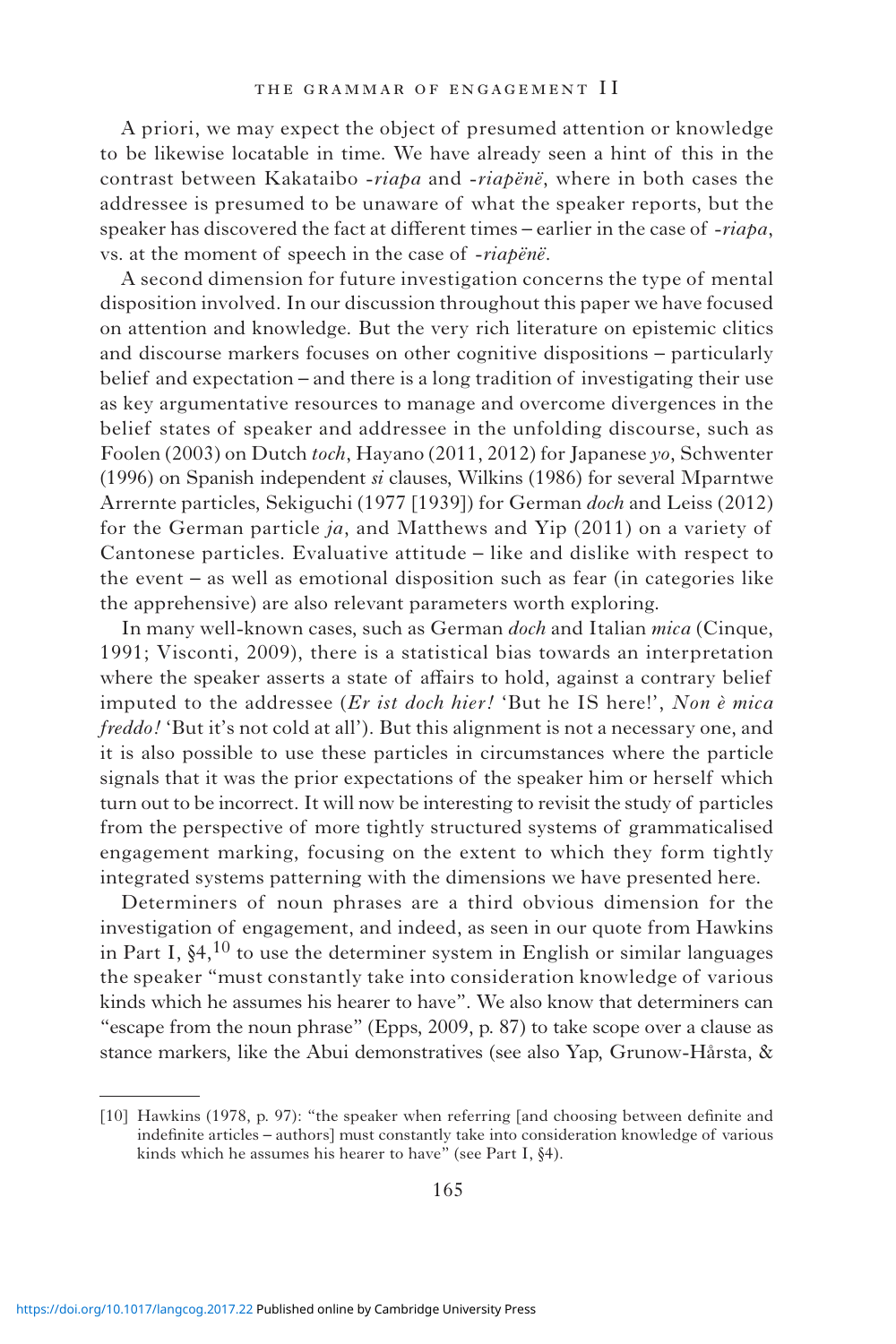A priori, we may expect the object of presumed attention or knowledge to be likewise locatable in time. We have already seen a hint of this in the contrast between Kakataibo *-riapa* and *-riapënë*, where in both cases the addressee is presumed to be unaware of what the speaker reports, but the speaker has discovered the fact at different times – earlier in the case of *-riapa*, vs. at the moment of speech in the case of *-riapënë*.

A second dimension for future investigation concerns the type of mental disposition involved. In our discussion throughout this paper we have focused on attention and knowledge. But the very rich literature on epistemic clitics and discourse markers focuses on other cognitive dispositions – particularly belief and expectation – and there is a long tradition of investigating their use as key argumentative resources to manage and overcome divergences in the belief states of speaker and addressee in the unfolding discourse, such as Foolen (2003) on Dutch *toch*, Hayano (2011, 2012) for Japanese *yo*, Schwenter (1996) on Spanish independent *si* clauses, Wilkins (1986) for several Mparntwe Arrernte particles, Sekiguchi (1977 [1939]) for German *doch* and Leiss (2012) for the German particle *ja*, and Matthews and Yip (2011) on a variety of Cantonese particles. Evaluative attitude – like and dislike with respect to the event – as well as emotional disposition such as fear (in categories like the apprehensive) are also relevant parameters worth exploring.

In many well-known cases, such as German *doch* and Italian *mica* (Cinque, 1991; Visconti, 2009), there is a statistical bias towards an interpretation where the speaker asserts a state of affairs to hold, against a contrary belief imputed to the addressee (*Er ist doch hier!* 'But he IS here!', *Non è mica freddo!* 'But it's not cold at all'). But this alignment is not a necessary one, and it is also possible to use these particles in circumstances where the particle signals that it was the prior expectations of the speaker him or herself which turn out to be incorrect. It will now be interesting to revisit the study of particles from the perspective of more tightly structured systems of grammaticalised engagement marking, focusing on the extent to which they form tightly integrated systems patterning with the dimensions we have presented here.

Determiners of noun phrases are a third obvious dimension for the investigation of engagement, and indeed, as seen in our quote from Hawkins in Part I,  $\S 4$ ,  $10$  to use the determiner system in English or similar languages the speaker "must constantly take into consideration knowledge of various kinds which he assumes his hearer to have". We also know that determiners can "escape from the noun phrase" (Epps, 2009, p. 87) to take scope over a clause as stance markers, like the Abui demonstratives (see also Yap, Grunow-Hårsta, &

<sup>[10]</sup> Hawkins (1978, p. 97): "the speaker when referring [and choosing between definite and indefinite articles – authors] must constantly take into consideration knowledge of various kinds which he assumes his hearer to have" (see Part I, §4).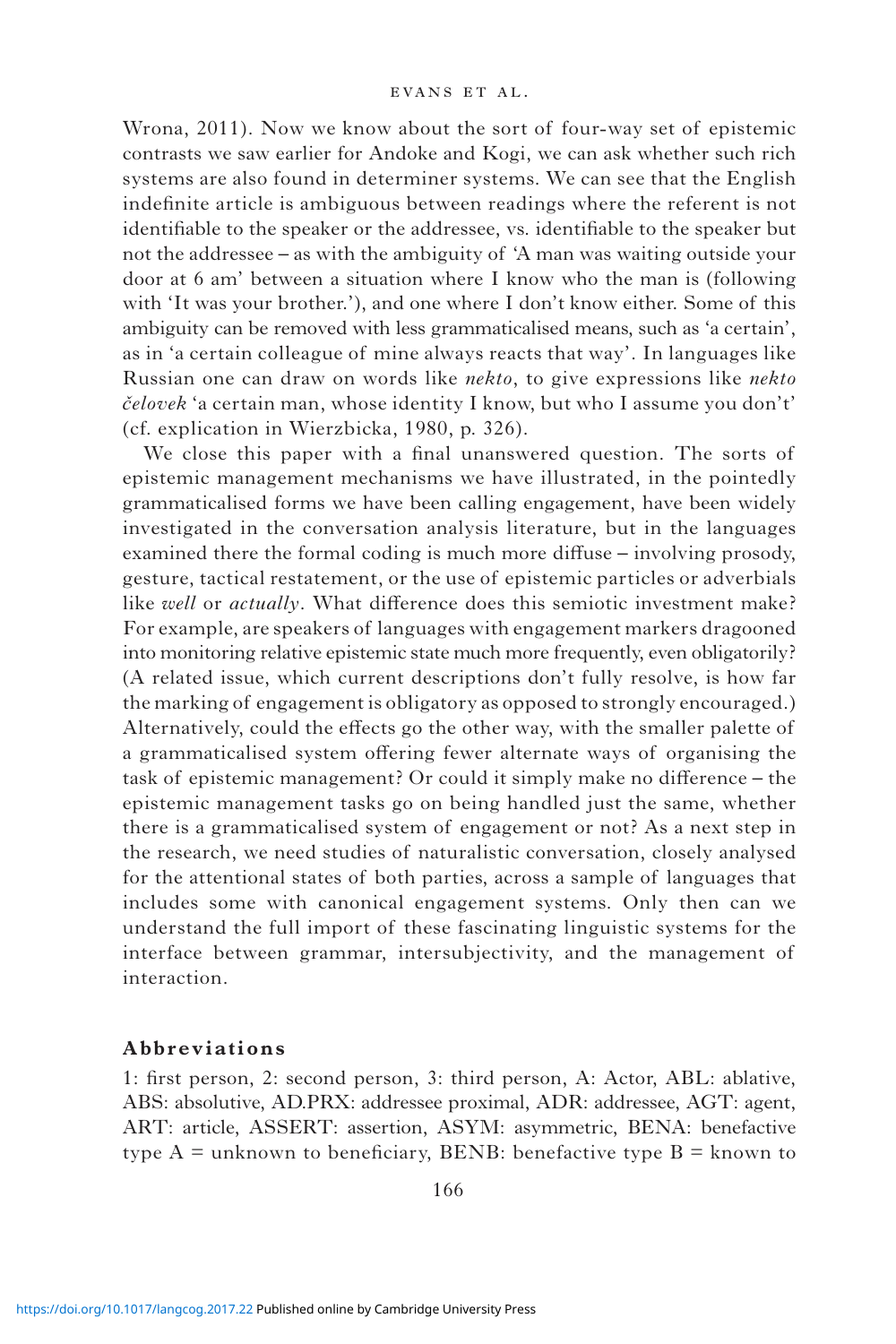Wrona, 2011). Now we know about the sort of four-way set of epistemic contrasts we saw earlier for Andoke and Kogi, we can ask whether such rich systems are also found in determiner systems. We can see that the English indefinite article is ambiguous between readings where the referent is not identifiable to the speaker or the addressee, vs. identifiable to the speaker but not the addressee – as with the ambiguity of 'A man was waiting outside your door at 6 am' between a situation where I know who the man is (following with 'It was your brother.'), and one where I don't know either. Some of this ambiguity can be removed with less grammaticalised means, such as 'a certain', as in 'a certain colleague of mine always reacts that way'. In languages like Russian one can draw on words like *nekto*, to give expressions like *nekto čelovek* 'a certain man, whose identity I know, but who I assume you don't' (cf. explication in Wierzbicka, 1980, p. 326).

We close this paper with a final unanswered question. The sorts of epistemic management mechanisms we have illustrated, in the pointedly grammaticalised forms we have been calling engagement, have been widely investigated in the conversation analysis literature, but in the languages examined there the formal coding is much more diffuse – involving prosody, gesture, tactical restatement, or the use of epistemic particles or adverbials like *well* or *actually*. What difference does this semiotic investment make? For example, are speakers of languages with engagement markers dragooned into monitoring relative epistemic state much more frequently, even obligatorily? (A related issue, which current descriptions don't fully resolve, is how far the marking of engagement is obligatory as opposed to strongly encouraged.) Alternatively, could the effects go the other way, with the smaller palette of a grammaticalised system offering fewer alternate ways of organising the task of epistemic management? Or could it simply make no difference – the epistemic management tasks go on being handled just the same, whether there is a grammaticalised system of engagement or not? As a next step in the research, we need studies of naturalistic conversation, closely analysed for the attentional states of both parties, across a sample of languages that includes some with canonical engagement systems. Only then can we understand the full import of these fascinating linguistic systems for the interface between grammar, intersubjectivity, and the management of interaction.

# **Abbreviations**

1: first person, 2: second person, 3: third person, A: Actor, ABL: ablative, ABS: absolutive, AD.PRX: addressee proximal, ADR: addressee, AGT: agent, ART: article, ASSERT: assertion, ASYM: asymmetric, BENA: benefactive type  $A =$  unknown to beneficiary, BENB: benefactive type  $B =$  known to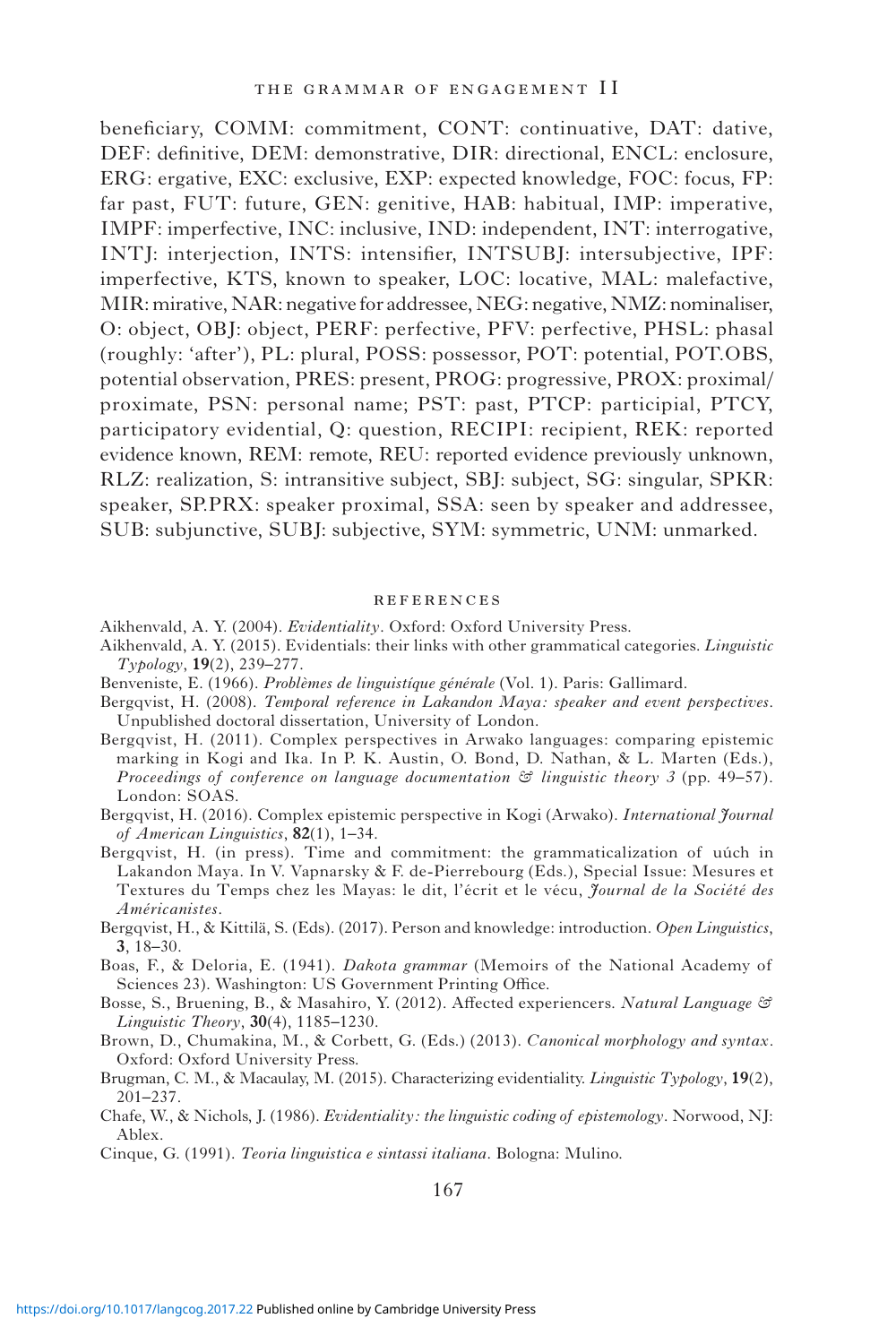beneficiary, COMM: commitment, CONT: continuative, DAT: dative, DEF: definitive, DEM: demonstrative, DIR: directional, ENCL: enclosure, ERG: ergative, EXC: exclusive, EXP: expected knowledge, FOC: focus, FP: far past, FUT: future, GEN: genitive, HAB: habitual, IMP: imperative, IMPF: imperfective, INC: inclusive, IND: independent, INT: interrogative, INTJ: interjection, INTS: intensifier, INTSUBJ: intersubjective, IPF: imperfective, KTS, known to speaker, LOC: locative, MAL: malefactive, MIR: mirative, NAR: negative for addressee, NEG: negative, NMZ: nominaliser, O: object, OBJ: object, PERF: perfective, PFV: perfective, PHSL: phasal (roughly: 'after'), PL: plural, POSS: possessor, POT: potential, POT.OBS, potential observation, PRES: present, PROG: progressive, PROX: proximal/ proximate, PSN: personal name; PST: past, PTCP: participial, PTCY, participatory evidential, Q: question, RECIPI: recipient, REK: reported evidence known, REM: remote, REU: reported evidence previously unknown, RLZ: realization, S: intransitive subject, SBJ: subject, SG: singular, SPKR: speaker, SP.PRX: speaker proximal, SSA: seen by speaker and addressee, SUB: subjunctive, SUBJ: subjective, SYM: symmetric, UNM: unmarked.

#### **REFERENCES**

- Aikhenvald, A. Y. (2004). *Evidentiality*. Oxford: Oxford University Press.
- Aikhenvald, A. Y. (2015). Evidentials: their links with other grammatical categories. *Linguistic Typology*, **19**(2), 239–277.
- Benveniste, E. (1966). *Problèmes de linguistíque générale* (Vol. 1). Paris: Gallimard.
- Bergqvist, H. (2008). *Temporal reference in Lakandon Maya: speaker and event perspectives*. Unpublished doctoral dissertation, University of London.
- Bergqvist, H. (2011). Complex perspectives in Arwako languages: comparing epistemic marking in Kogi and Ika. In P. K. Austin, O. Bond, D. Nathan, & L. Marten (Eds.), *Proceedings of conference on language documentation & linguistic theory 3* (pp. 49–57). London: SOAS.
- Bergqvist, H. (2016). Complex epistemic perspective in Kogi (Arwako). *International Journal of American Linguistics*, **82**(1), 1–34.
- Bergqvist, H. (in press). Time and commitment: the grammaticalization of uúch in Lakandon Maya. In V. Vapnarsky & F. de-Pierrebourg (Eds.), Special Issue: Mesures et Textures du Temps chez les Mayas: le dit, l'écrit et le vécu, *Journal de la Société des Américanistes*.
- Bergqvist, H., & Kittilä, S. (Eds). (2017). Person and knowledge: introduction. *Open Linguistics*, **3**, 18–30.
- Boas, F., & Deloria, E. (1941). *Dakota grammar* (Memoirs of the National Academy of Sciences 23). Washington: US Government Printing Office.
- Bosse, S., Bruening, B., & Masahiro, Y. (2012). Affected experiencers. *Natural Language & Linguistic Theory*, **30**(4), 1185–1230.
- Brown, D., Chumakina, M., & Corbett, G. (Eds.) (2013). *Canonical morphology and syntax.* Oxford: Oxford University Press.
- Brugman, C. M., & Macaulay, M. (2015). Characterizing evidentiality. *Linguistic Typology*, **19**(2), 201–237.
- Chafe, W., & Nichols, J. (1986). *Evidentiality: the linguistic coding of epistemology*. Norwood, NJ: Ablex.
- Cinque, G. (1991). *Teoria linguistica e sintassi italiana*. Bologna: Mulino.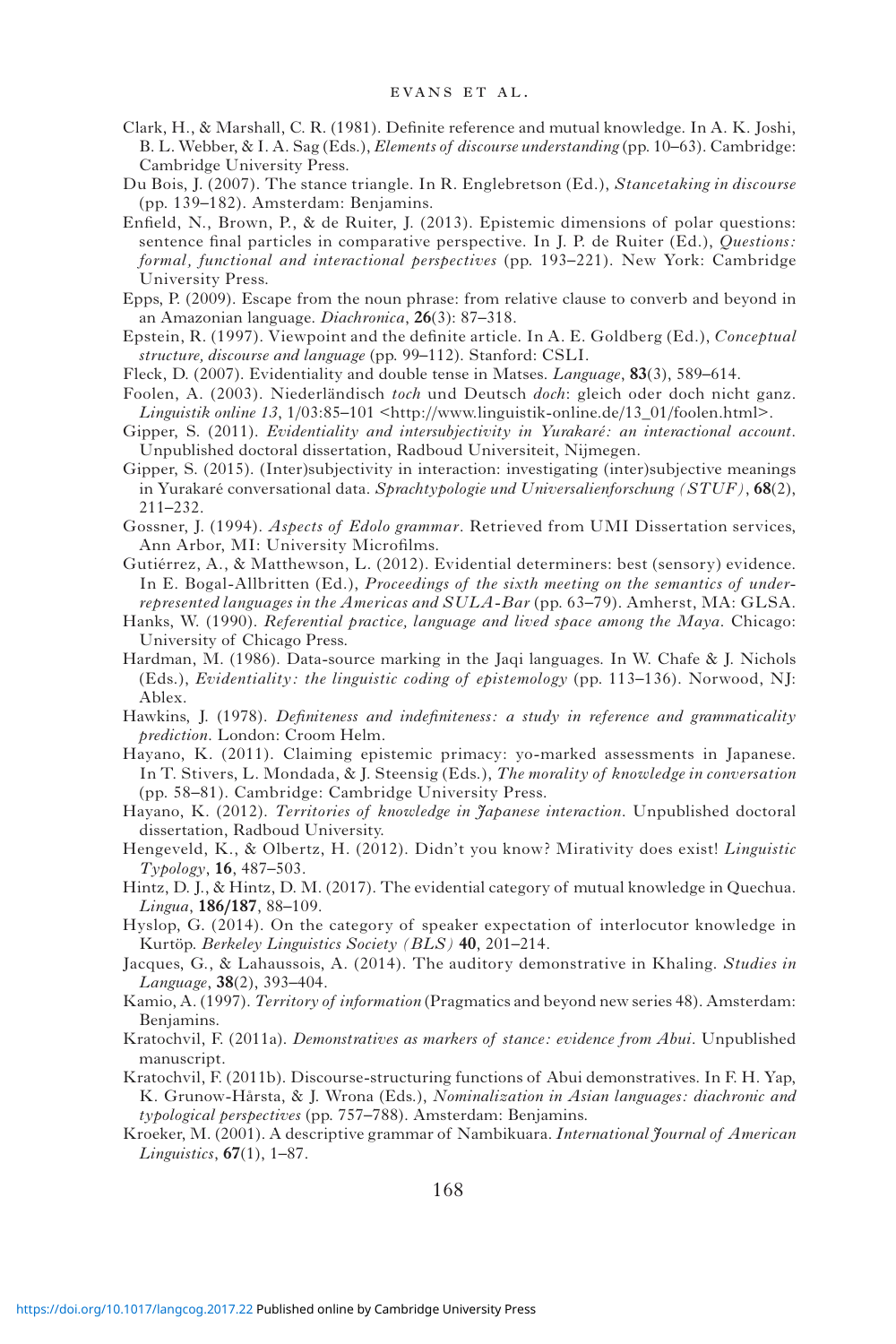- Clark, H., & Marshall, C. R. (1981). Definite reference and mutual knowledge. In A. K. Joshi, B. L. Webber, & I. A. Sag (Eds.), *Elements of discourse understanding* (pp. 10–63). Cambridge: Cambridge University Press.
- Du Bois, J. (2007). The stance triangle. In R. Englebretson (Ed.), *Stancetaking in discourse* (pp. 139–182). Amsterdam: Benjamins.
- Enfield, N., Brown, P., & de Ruiter, J. (2013). Epistemic dimensions of polar questions: sentence final particles in comparative perspective. In J. P. de Ruiter (Ed.), *Questions: formal, functional and interactional perspectives* (pp. 193–221). New York: Cambridge University Press.
- Epps, P. (2009). Escape from the noun phrase: from relative clause to converb and beyond in an Amazonian language. *Diachronica*, **26**(3): 87–318.
- Epstein, R. (1997). Viewpoint and the definite article. In A. E. Goldberg (Ed.), *Conceptual structure, discourse and language* (pp. 99–112). Stanford: CSLI.
- Fleck, D. (2007). Evidentiality and double tense in Matses. *Language*, **83**(3), 589–614.
- Foolen, A. (2003). Niederländisch *toch* und Deutsch *doch*: gleich oder doch nicht ganz. *Linguistik online 13*, 1/03:85-101 <[http://www.linguistik-online.de/13\\_01/foolen.html](http://www.linguistik-online.de/13_01/foolen.html)>.
- Gipper, S. (2011). *Evidentiality and intersubjectivity in Yurakaré: an interactional account*. Unpublished doctoral dissertation, Radboud Universiteit, Nijmegen.
- Gipper, S. (2015). (Inter)subjectivity in interaction: investigating (inter)subjective meanings in Yurakaré conversational data. *Sprachtypologie und Universalienforschung (STUF)*, **68**(2), 211–232.
- Gossner, J. (1994). *Aspects of Edolo grammar*. Retrieved from UMI Dissertation services, Ann Arbor, MI: University Microfilms.
- Gutiérrez, A., & Matthewson, L. (2012). Evidential determiners: best (sensory) evidence. In E. Bogal-Allbritten (Ed.), *Proceedings of the sixth meeting on the semantics of underrepresented languages in the Americas and SULA-Bar* (pp. 63–79). Amherst, MA: GLSA.
- Hanks, W. (1990). *Referential practice, language and lived space among the Maya*. Chicago: University of Chicago Press.
- Hardman, M. (1986). Data-source marking in the Jaqi languages. In W. Chafe & J. Nichols (Eds.), *Evidentiality: the linguistic coding of epistemology* (pp. 113–136). Norwood, NJ: Ablex.
- Hawkins, J. (1978). *Definiteness and indefiniteness: a study in reference and grammaticality prediction*. London: Croom Helm.
- Hayano, K. (2011). Claiming epistemic primacy: yo-marked assessments in Japanese. In T. Stivers, L. Mondada, & J. Steensig (Eds.), *The morality of knowledge in conversation* (pp. 58–81). Cambridge: Cambridge University Press.
- Hayano, K. (2012). *Territories of knowledge in Japanese interaction*. Unpublished doctoral dissertation, Radboud University.
- Hengeveld, K., & Olbertz, H. (2012). Didn't you know? Mirativity does exist! *Linguistic Typology*, **16**, 487–503.
- Hintz, D. J., & Hintz, D. M. (2017). The evidential category of mutual knowledge in Quechua. *Lingua*, **186/187**, 88–109.
- Hyslop, G. (2014). On the category of speaker expectation of interlocutor knowledge in Kurtöp. *Berkeley Linguistics Society (BLS)* **40**, 201–214.
- Jacques, G., & Lahaussois, A. (2014). The auditory demonstrative in Khaling. *Studies in Language*, **38**(2), 393–404.
- Kamio, A. (1997). *Territory of information* (Pragmatics and beyond new series 48). Amsterdam: Benjamins.
- Kratochvil, F. (2011a). *Demonstratives as markers of stance: evidence from Abui*. Unpublished manuscript.
- Kratochvil, F. (2011b). Discourse-structuring functions of Abui demonstratives. In F. H. Yap, K. Grunow-Hårsta, & J. Wrona (Eds.), *Nominalization in Asian languages: diachronic and typological perspectives* (pp. 757–788). Amsterdam: Benjamins.
- Kroeker, M. (2001). A descriptive grammar of Nambikuara. *International Journal of American Linguistics*, **67**(1), 1–87.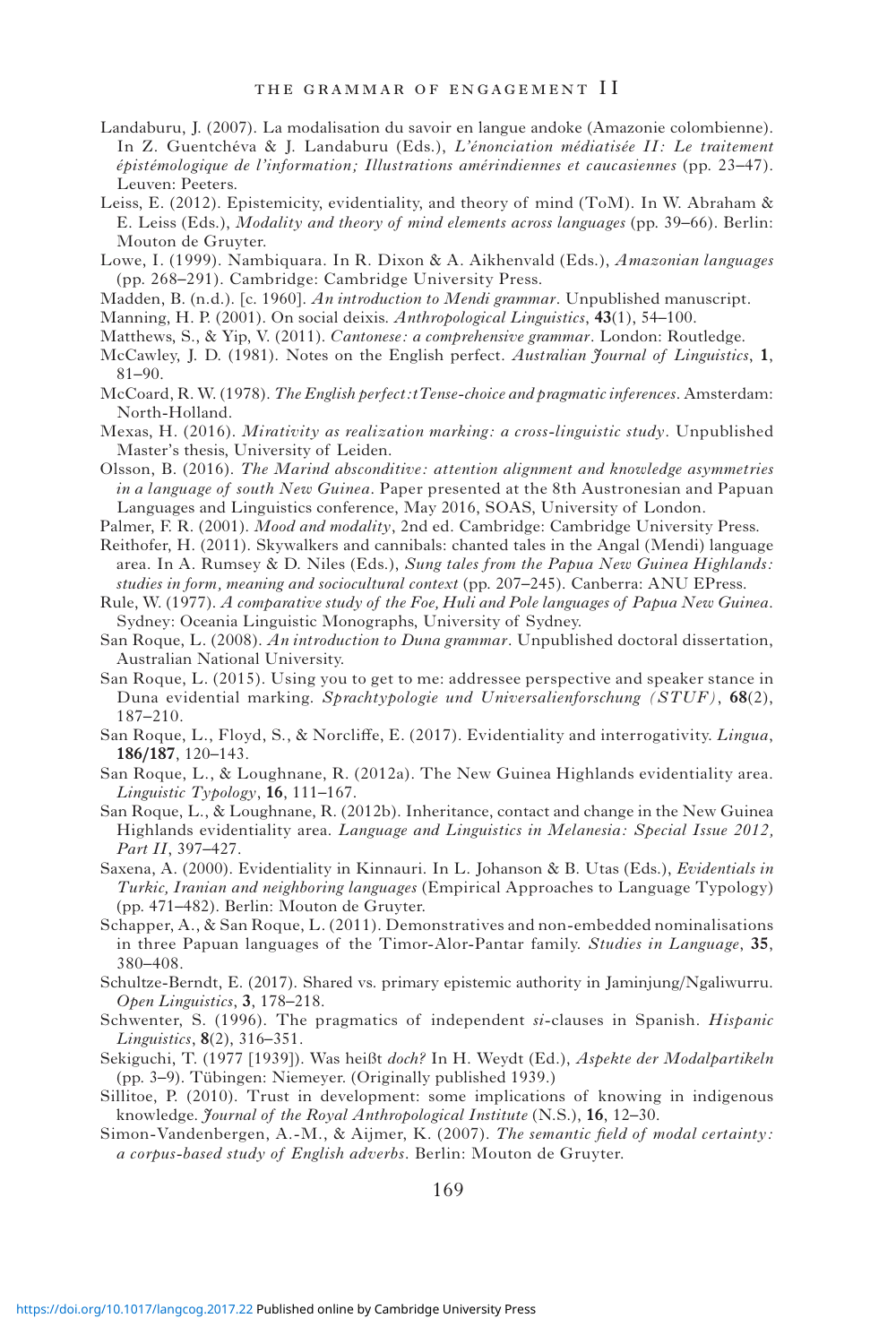- Landaburu, J. (2007). La modalisation du savoir en langue andoke (Amazonie colombienne). In Z. Guentchéva & J. Landaburu (Eds.), *L'énonciation médiatisée II: Le traitement épistémologique de l'information; Illustrations amérindiennes et caucasiennes* (pp. 23–47). Leuven: Peeters.
- Leiss, E. (2012). Epistemicity, evidentiality, and theory of mind (ToM). In W. Abraham & E. Leiss (Eds.), *Modality and theory of mind elements across languages* (pp. 39–66). Berlin: Mouton de Gruyter.
- Lowe, I. (1999). Nambiquara. In R. Dixon & A. Aikhenvald (Eds.), *Amazonian languages* (pp. 268–291). Cambridge: Cambridge University Press.
- Madden, B. (n.d.). [c. 1960]. *An introduction to Mendi grammar*. Unpublished manuscript.
- Manning, H. P. (2001). On social deixis. *Anthropological Linguistics*, **43**(1), 54–100.
- Matthews, S., & Yip, V. (2011). *Cantonese: a comprehensive grammar*. London: Routledge.
- McCawley, J. D. (1981). Notes on the English perfect. *Australian Journal of Linguistics*, **1**, 81–90.
- McCoard, R. W. (1978). *The English perfect:tTense-choice and pragmatic inferences*. Amsterdam: North-Holland.
- Mexas, H. (2016). *Mirativity as realization marking: a cross-linguistic study*. Unpublished Master's thesis, University of Leiden.
- Olsson, B. (2016). *The Marind absconditive: attention alignment and knowledge asymmetries in a language of south New Guinea*. Paper presented at the 8th Austronesian and Papuan Languages and Linguistics conference, May 2016, SOAS, University of London.
- Palmer, F. R. (2001). *Mood and modality*, 2nd ed. Cambridge: Cambridge University Press.
- Reithofer, H. (2011). Skywalkers and cannibals: chanted tales in the Angal (Mendi) language area. In A. Rumsey & D. Niles (Eds.), *Sung tales from the Papua New Guinea Highlands: studies in form, meaning and sociocultural context* (pp. 207–245). Canberra: ANU EPress.
- Rule, W. (1977). *A comparative study of the Foe, Huli and Pole languages of Papua New Guinea*. Sydney: Oceania Linguistic Monographs, University of Sydney.
- San Roque, L. (2008). *An introduction to Duna grammar*. Unpublished doctoral dissertation, Australian National University.
- San Roque, L. (2015). Using you to get to me: addressee perspective and speaker stance in Duna evidential marking. *Sprachtypologie und Universalienforschung (STUF)*, **68**(2), 187–210.
- San Roque, L., Floyd, S., & Norcliffe, E. (2017). Evidentiality and interrogativity. *Lingua*, **186/187**, 120–143.
- San Roque, L., & Loughnane, R. (2012a). The New Guinea Highlands evidentiality area. *Linguistic Typology*, **16**, 111–167.
- San Roque, L., & Loughnane, R. (2012b). Inheritance, contact and change in the New Guinea Highlands evidentiality area. *Language and Linguistics in Melanesia: Special Issue 2012, Part II*, 397–427.
- Saxena, A. (2000). Evidentiality in Kinnauri. In L. Johanson & B. Utas (Eds.), *Evidentials in Turkic, Iranian and neighboring languages* (Empirical Approaches to Language Typology) (pp. 471–482). Berlin: Mouton de Gruyter.
- Schapper, A., & San Roque, L. (2011). Demonstratives and non-embedded nominalisations in three Papuan languages of the Timor-Alor-Pantar family. *Studies in Language*, **35**, 380–408.
- Schultze-Berndt, E. (2017). Shared vs. primary epistemic authority in Jaminjung/Ngaliwurru. *Open Linguistics*, **3**, 178–218.
- Schwenter, S. (1996). The pragmatics of independent *si*-clauses in Spanish. *Hispanic Linguistics*, **8**(2), 316–351.
- Sekiguchi, T. (1977 [1939]). Was heißt *doch?* In H. Weydt (Ed.), *Aspekte der Modalpartikeln* (pp. 3–9). Tübingen: Niemeyer. (Originally published 1939.)
- Sillitoe, P. (2010). Trust in development: some implications of knowing in indigenous knowledge. *Journal of the Royal Anthropological Institute* (N.S.), **16**, 12–30.
- Simon-Vandenbergen, A.-M., & Aijmer, K. (2007). *The semantic field of modal certainty: a corpus-based study of English adverbs*. Berlin: Mouton de Gruyter.